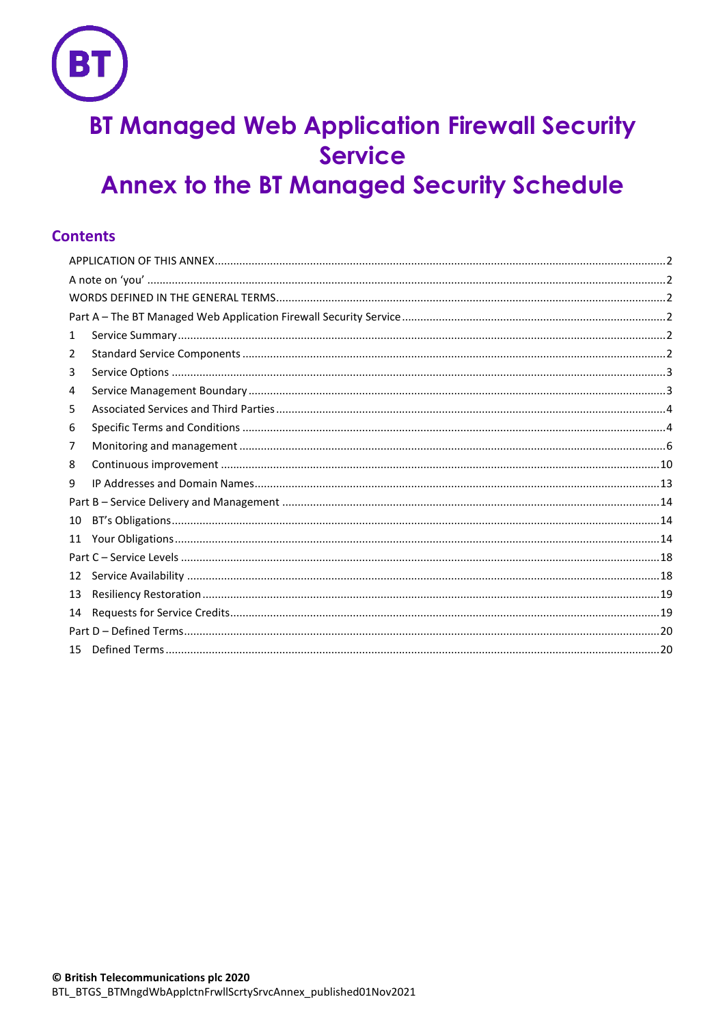# **BT Managed Web Application Firewall Security Service Annex to the BT Managed Security Schedule**

# **Contents**

| 1  |  |  |  |  |
|----|--|--|--|--|
| 2  |  |  |  |  |
| 3  |  |  |  |  |
| 4  |  |  |  |  |
| 5  |  |  |  |  |
| 6  |  |  |  |  |
| 7  |  |  |  |  |
| 8  |  |  |  |  |
| 9  |  |  |  |  |
|    |  |  |  |  |
| 10 |  |  |  |  |
| 11 |  |  |  |  |
|    |  |  |  |  |
| 12 |  |  |  |  |
| 13 |  |  |  |  |
| 14 |  |  |  |  |
|    |  |  |  |  |
| 15 |  |  |  |  |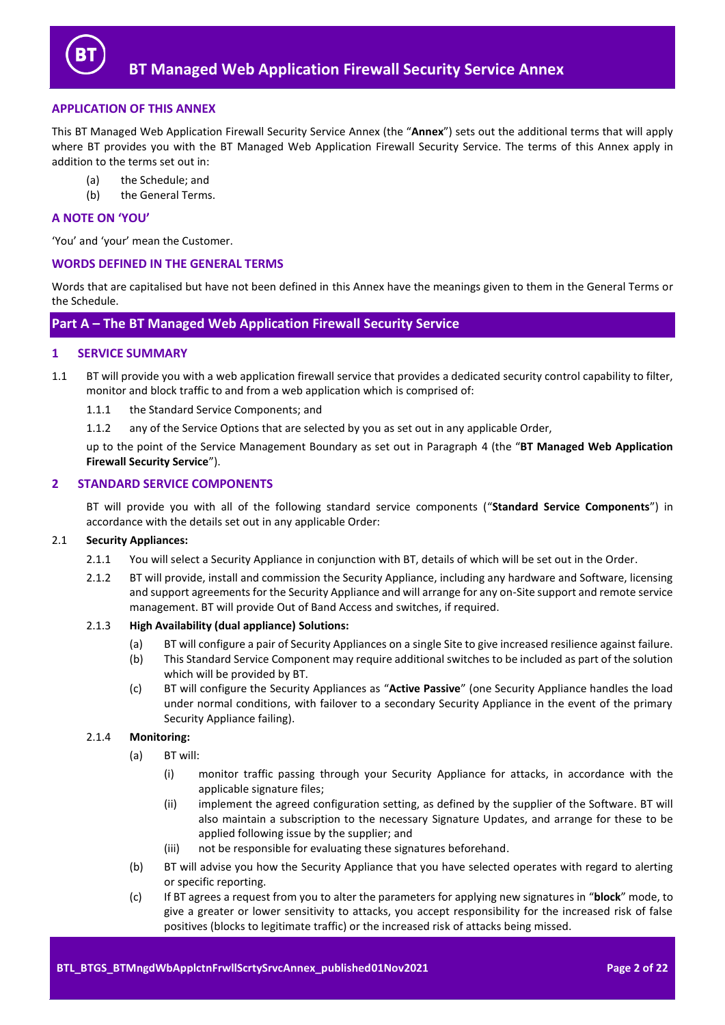

# <span id="page-1-0"></span>**APPLICATION OF THIS ANNEX**

This BT Managed Web Application Firewall Security Service Annex (the "**Annex**") sets out the additional terms that will apply where BT provides you with the BT Managed Web Application Firewall Security Service. The terms of this Annex apply in addition to the terms set out in:

- (a) the Schedule; and
- (b) the General Terms.

# <span id="page-1-1"></span>**A NOTE ON 'YOU'**

'You' and 'your' mean the Customer.

## <span id="page-1-2"></span>**WORDS DEFINED IN THE GENERAL TERMS**

Words that are capitalised but have not been defined in this Annex have the meanings given to them in the General Terms or the Schedule.

# <span id="page-1-3"></span>**Part A – The BT Managed Web Application Firewall Security Service**

## <span id="page-1-4"></span>**1 SERVICE SUMMARY**

- <span id="page-1-7"></span>1.1 BT will provide you with a web application firewall service that provides a dedicated security control capability to filter, monitor and block traffic to and from a web application which is comprised of:
	- 1.1.1 the Standard Service Components; and
	- 1.1.2 any of the Service Options that are selected by you as set out in any applicable Order,

up to the point of the Service Management Boundary as set out in Paragraph [4](#page-2-1) (the "**BT Managed Web Application Firewall Security Service**").

# <span id="page-1-5"></span>**2 STANDARD SERVICE COMPONENTS**

BT will provide you with all of the following standard service components ("**Standard Service Components**") in accordance with the details set out in any applicable Order:

#### 2.1 **Security Appliances:**

- 2.1.1 You will select a Security Appliance in conjunction with BT, details of which will be set out in the Order.
- 2.1.2 BT will provide, install and commission the Security Appliance, including any hardware and Software, licensing and support agreements for the Security Appliance and will arrange for any on-Site support and remote service management. BT will provide Out of Band Access and switches, if required.

#### 2.1.3 **High Availability (dual appliance) Solutions:**

- (a) BT will configure a pair of Security Appliances on a single Site to give increased resilience against failure.
- (b) This Standard Service Component may require additional switches to be included as part of the solution which will be provided by BT.
- (c) BT will configure the Security Appliances as "**Active Passive**" (one Security Appliance handles the load under normal conditions, with failover to a secondary Security Appliance in the event of the primary Security Appliance failing).

#### <span id="page-1-6"></span>2.1.4 **Monitoring:**

- (a) BT will:
	- (i) monitor traffic passing through your Security Appliance for attacks, in accordance with the applicable signature files;
	- (ii) implement the agreed configuration setting, as defined by the supplier of the Software. BT will also maintain a subscription to the necessary Signature Updates, and arrange for these to be applied following issue by the supplier; and
	- (iii) not be responsible for evaluating these signatures beforehand.
- (b) BT will advise you how the Security Appliance that you have selected operates with regard to alerting or specific reporting.
- (c) If BT agrees a request from you to alter the parameters for applying new signatures in "**block**" mode, to give a greater or lower sensitivity to attacks, you accept responsibility for the increased risk of false positives (blocks to legitimate traffic) or the increased risk of attacks being missed.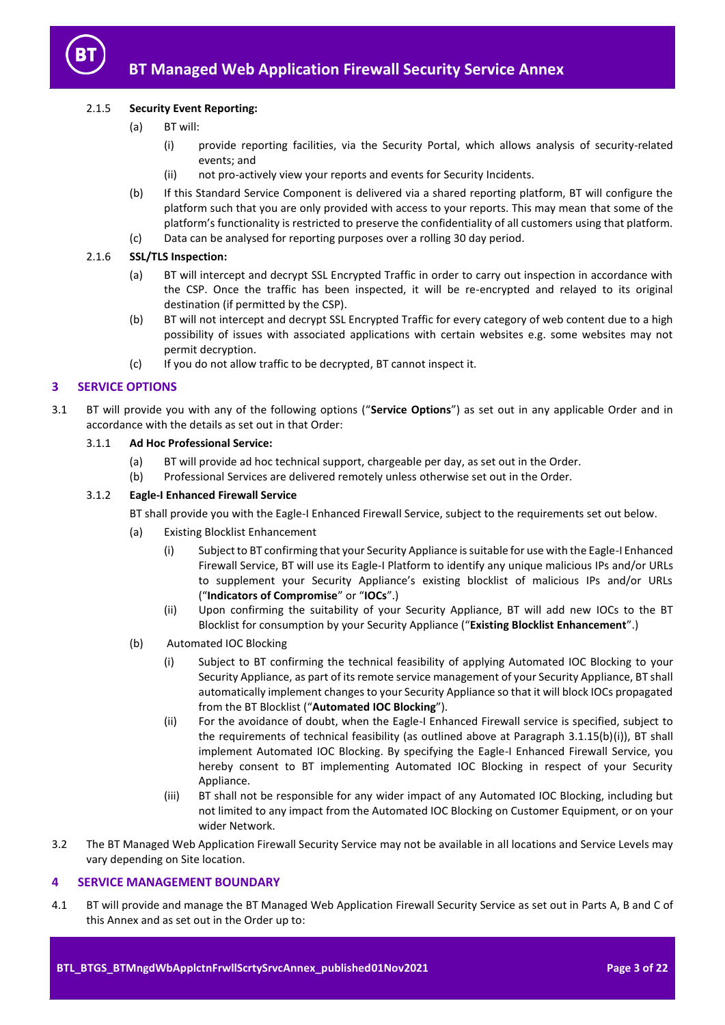

# 2.1.5 **Security Event Reporting:**

- (a) BT will:
	- (i) provide reporting facilities, via the Security Portal, which allows analysis of security-related events; and
	- (ii) not pro-actively view your reports and events for Security Incidents.
- (b) If this Standard Service Component is delivered via a shared reporting platform, BT will configure the platform such that you are only provided with access to your reports. This may mean that some of the platform's functionality is restricted to preserve the confidentiality of all customers using that platform.
- (c) Data can be analysed for reporting purposes over a rolling 30 day period.

# <span id="page-2-8"></span>2.1.6 **SSL/TLS Inspection:**

- (a) BT will intercept and decrypt SSL Encrypted Traffic in order to carry out inspection in accordance with the CSP. Once the traffic has been inspected, it will be re-encrypted and relayed to its original destination (if permitted by the CSP).
- (b) BT will not intercept and decrypt SSL Encrypted Traffic for every category of web content due to a high possibility of issues with associated applications with certain websites e.g. some websites may not permit decryption.
- (c) If you do not allow traffic to be decrypted, BT cannot inspect it.

# <span id="page-2-0"></span>**3 SERVICE OPTIONS**

<span id="page-2-7"></span>3.1 BT will provide you with any of the following options ("**Service Options**") as set out in any applicable Order and in accordance with the details as set out in that Order:

# 3.1.1 **Ad Hoc Professional Service:**

- (a) BT will provide ad hoc technical support, chargeable per day, as set out in the Order.
- (b) Professional Services are delivered remotely unless otherwise set out in the Order.

# <span id="page-2-5"></span><span id="page-2-3"></span>3.1.2 **Eagle-I Enhanced Firewall Service**

BT shall provide you with the Eagle-I Enhanced Firewall Service, subject to the requirements set out below.

- (a) Existing Blocklist Enhancement
	- (i) Subject to BT confirming that your Security Appliance is suitable for use with the Eagle-I Enhanced Firewall Service, BT will use its Eagle-I Platform to identify any unique malicious IPs and/or URLs to supplement your Security Appliance's existing blocklist of malicious IPs and/or URLs ("**Indicators of Compromise**" or "**IOCs**".)
	- (ii) Upon confirming the suitability of your Security Appliance, BT will add new IOCs to the BT Blocklist for consumption by your Security Appliance ("**Existing Blocklist Enhancement**".)
- <span id="page-2-4"></span><span id="page-2-2"></span>(b) Automated IOC Blocking
	- (i) Subject to BT confirming the technical feasibility of applying Automated IOC Blocking to your Security Appliance, as part of its remote service management of your Security Appliance, BT shall automatically implement changes to your Security Appliance so that it will block IOCs propagated from the BT Blocklist ("**Automated IOC Blocking**").
	- (ii) For the avoidance of doubt, when the Eagle-I Enhanced Firewall service is specified, subject to the requirements of technical feasibility (as outlined above at Paragraph 3.1.15(b[\)\(i\)\)](#page-2-2), BT shall implement Automated IOC Blocking. By specifying the Eagle-I Enhanced Firewall Service, you hereby consent to BT implementing Automated IOC Blocking in respect of your Security Appliance.
	- (iii) BT shall not be responsible for any wider impact of any Automated IOC Blocking, including but not limited to any impact from the Automated IOC Blocking on Customer Equipment, or on your wider Network.
- 3.2 The BT Managed Web Application Firewall Security Service may not be available in all locations and Service Levels may vary depending on Site location.

# <span id="page-2-1"></span>**4 SERVICE MANAGEMENT BOUNDARY**

<span id="page-2-6"></span>4.1 BT will provide and manage the BT Managed Web Application Firewall Security Service as set out in Parts A, B and C of this Annex and as set out in the Order up to: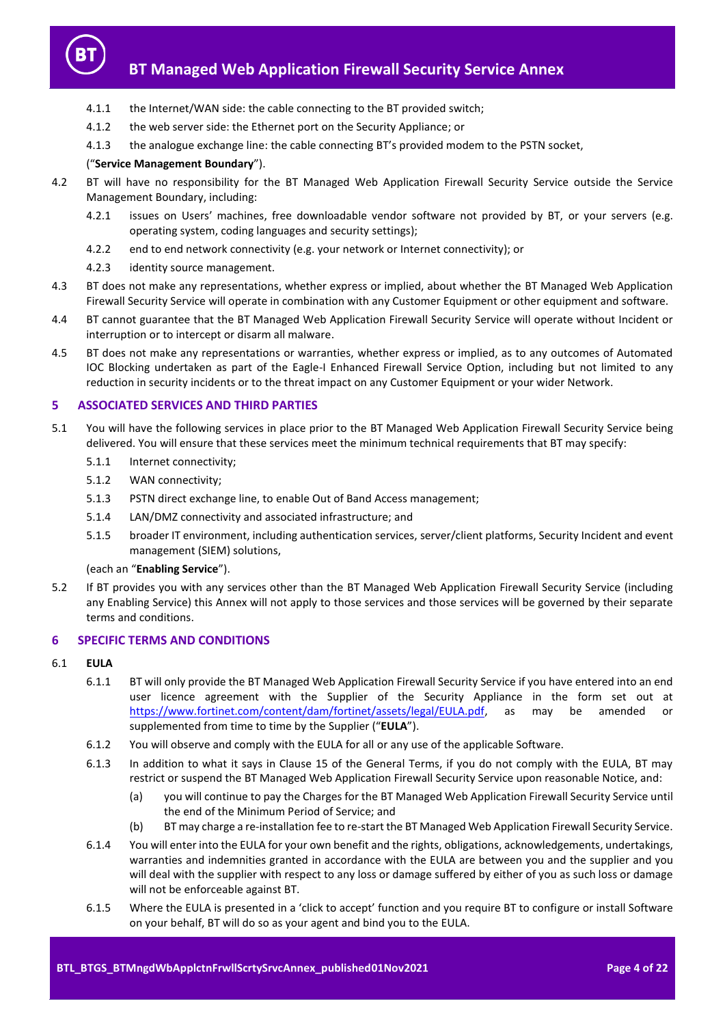

- 4.1.1 the Internet/WAN side: the cable connecting to the BT provided switch;
- 4.1.2 the web server side: the Ethernet port on the Security Appliance; or
- 4.1.3 the analogue exchange line: the cable connecting BT's provided modem to the PSTN socket,

#### ("**Service Management Boundary**").

- 4.2 BT will have no responsibility for the BT Managed Web Application Firewall Security Service outside the Service Management Boundary, including:
	- 4.2.1 issues on Users' machines, free downloadable vendor software not provided by BT, or your servers (e.g. operating system, coding languages and security settings);
	- 4.2.2 end to end network connectivity (e.g. your network or Internet connectivity); or
	- 4.2.3 identity source management.
- 4.3 BT does not make any representations, whether express or implied, about whether the BT Managed Web Application Firewall Security Service will operate in combination with any Customer Equipment or other equipment and software.
- 4.4 BT cannot guarantee that the BT Managed Web Application Firewall Security Service will operate without Incident or interruption or to intercept or disarm all malware.
- 4.5 BT does not make any representations or warranties, whether express or implied, as to any outcomes of Automated IOC Blocking undertaken as part of the Eagle-I Enhanced Firewall Service Option, including but not limited to any reduction in security incidents or to the threat impact on any Customer Equipment or your wider Network.

#### <span id="page-3-0"></span>**5 ASSOCIATED SERVICES AND THIRD PARTIES**

- <span id="page-3-2"></span>5.1 You will have the following services in place prior to the BT Managed Web Application Firewall Security Service being delivered. You will ensure that these services meet the minimum technical requirements that BT may specify:
	- 5.1.1 Internet connectivity;
	- 5.1.2 WAN connectivity;
	- 5.1.3 PSTN direct exchange line, to enable Out of Band Access management;
	- 5.1.4 LAN/DMZ connectivity and associated infrastructure; and
	- 5.1.5 broader IT environment, including authentication services, server/client platforms, Security Incident and event management (SIEM) solutions,

(each an "**Enabling Service**").

5.2 If BT provides you with any services other than the BT Managed Web Application Firewall Security Service (including any Enabling Service) this Annex will not apply to those services and those services will be governed by their separate terms and conditions.

# <span id="page-3-1"></span>**6 SPECIFIC TERMS AND CONDITIONS**

## <span id="page-3-3"></span>6.1 **EULA**

- 6.1.1 BT will only provide the BT Managed Web Application Firewall Security Service if you have entered into an end user licence agreement with the Supplier of the Security Appliance in the form set out at [https://www.fortinet.com/content/dam/fortinet/assets/legal/EULA.pdf,](https://www.fortinet.com/content/dam/fortinet/assets/legal/EULA.pdf) as may be amended or supplemented from time to time by the Supplier ("**EULA**").
- 6.1.2 You will observe and comply with the EULA for all or any use of the applicable Software.
- 6.1.3 In addition to what it says in Clause 15 of the General Terms, if you do not comply with the EULA, BT may restrict or suspend the BT Managed Web Application Firewall Security Service upon reasonable Notice, and:
	- (a) you will continue to pay the Charges for the BT Managed Web Application Firewall Security Service until the end of the Minimum Period of Service; and
	- (b) BT may charge a re-installation fee to re-start the BT Managed Web Application Firewall Security Service.
- 6.1.4 You will enter into the EULA for your own benefit and the rights, obligations, acknowledgements, undertakings, warranties and indemnities granted in accordance with the EULA are between you and the supplier and you will deal with the supplier with respect to any loss or damage suffered by either of you as such loss or damage will not be enforceable against BT.
- 6.1.5 Where the EULA is presented in a 'click to accept' function and you require BT to configure or install Software on your behalf, BT will do so as your agent and bind you to the EULA.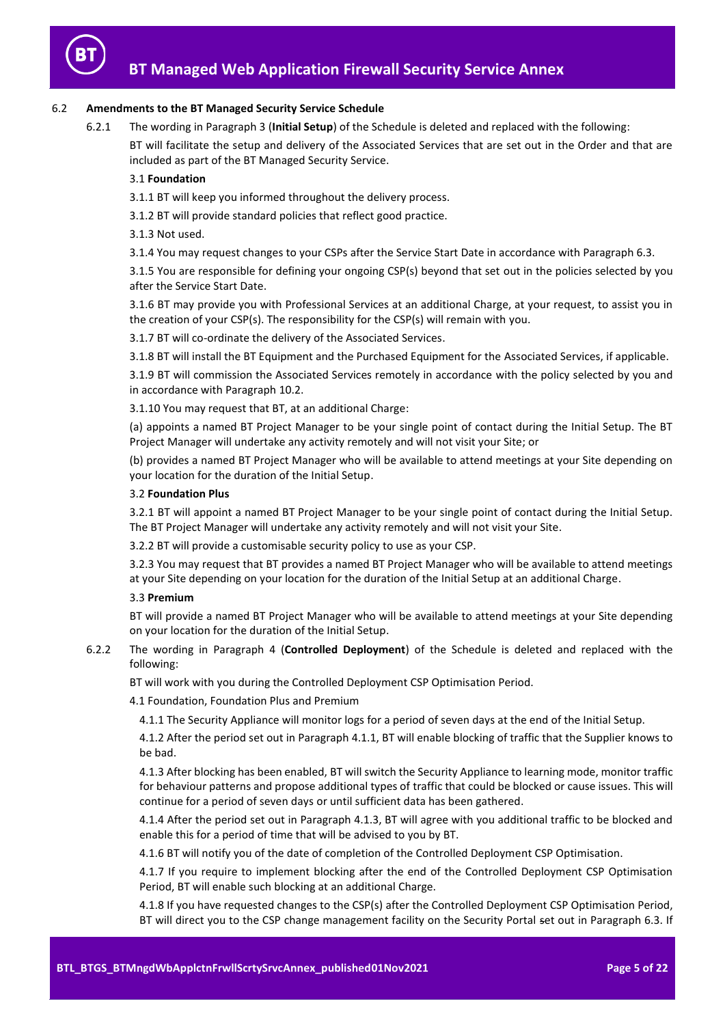

# 6.2 **Amendments to the BT Managed Security Service Schedule**

6.2.1 The wording in Paragraph 3 (**Initial Setup**) of the Schedule is deleted and replaced with the following:

BT will facilitate the setup and delivery of the Associated Services that are set out in the Order and that are included as part of the BT Managed Security Service.

# 3.1 **Foundation**

3.1.1 BT will keep you informed throughout the delivery process.

3.1.2 BT will provide standard policies that reflect good practice.

3.1.3 Not used.

3.1.4 You may request changes to your CSPs after the Service Start Date in accordance with Paragraph 6.3.

3.1.5 You are responsible for defining your ongoing CSP(s) beyond that set out in the policies selected by you after the Service Start Date.

3.1.6 BT may provide you with Professional Services at an additional Charge, at your request, to assist you in the creation of your CSP(s). The responsibility for the CSP(s) will remain with you.

3.1.7 BT will co-ordinate the delivery of the Associated Services.

3.1.8 BT will install the BT Equipment and the Purchased Equipment for the Associated Services, if applicable.

3.1.9 BT will commission the Associated Services remotely in accordance with the policy selected by you and in accordance with Paragraph 10.2.

3.1.10 You may request that BT, at an additional Charge:

(a) appoints a named BT Project Manager to be your single point of contact during the Initial Setup. The BT Project Manager will undertake any activity remotely and will not visit your Site; or

(b) provides a named BT Project Manager who will be available to attend meetings at your Site depending on your location for the duration of the Initial Setup.

# 3.2 **Foundation Plus**

3.2.1 BT will appoint a named BT Project Manager to be your single point of contact during the Initial Setup. The BT Project Manager will undertake any activity remotely and will not visit your Site.

3.2.2 BT will provide a customisable security policy to use as your CSP.

3.2.3 You may request that BT provides a named BT Project Manager who will be available to attend meetings at your Site depending on your location for the duration of the Initial Setup at an additional Charge.

# 3.3 **Premium**

BT will provide a named BT Project Manager who will be available to attend meetings at your Site depending on your location for the duration of the Initial Setup.

# 6.2.2 The wording in Paragraph 4 (**Controlled Deployment**) of the Schedule is deleted and replaced with the following:

BT will work with you during the Controlled Deployment CSP Optimisation Period.

4.1 Foundation, Foundation Plus and Premium

4.1.1 The Security Appliance will monitor logs for a period of seven days at the end of the Initial Setup.

4.1.2 After the period set out in Paragraph 4.1.1, BT will enable blocking of traffic that the Supplier knows to be bad.

4.1.3 After blocking has been enabled, BT will switch the Security Appliance to learning mode, monitor traffic for behaviour patterns and propose additional types of traffic that could be blocked or cause issues. This will continue for a period of seven days or until sufficient data has been gathered.

4.1.4 After the period set out in Paragraph 4.1.3, BT will agree with you additional traffic to be blocked and enable this for a period of time that will be advised to you by BT.

4.1.6 BT will notify you of the date of completion of the Controlled Deployment CSP Optimisation.

4.1.7 If you require to implement blocking after the end of the Controlled Deployment CSP Optimisation Period, BT will enable such blocking at an additional Charge.

4.1.8 If you have requested changes to the CSP(s) after the Controlled Deployment CSP Optimisation Period, BT will direct you to the CSP change management facility on the Security Portal set out in Paragraph 6.3. If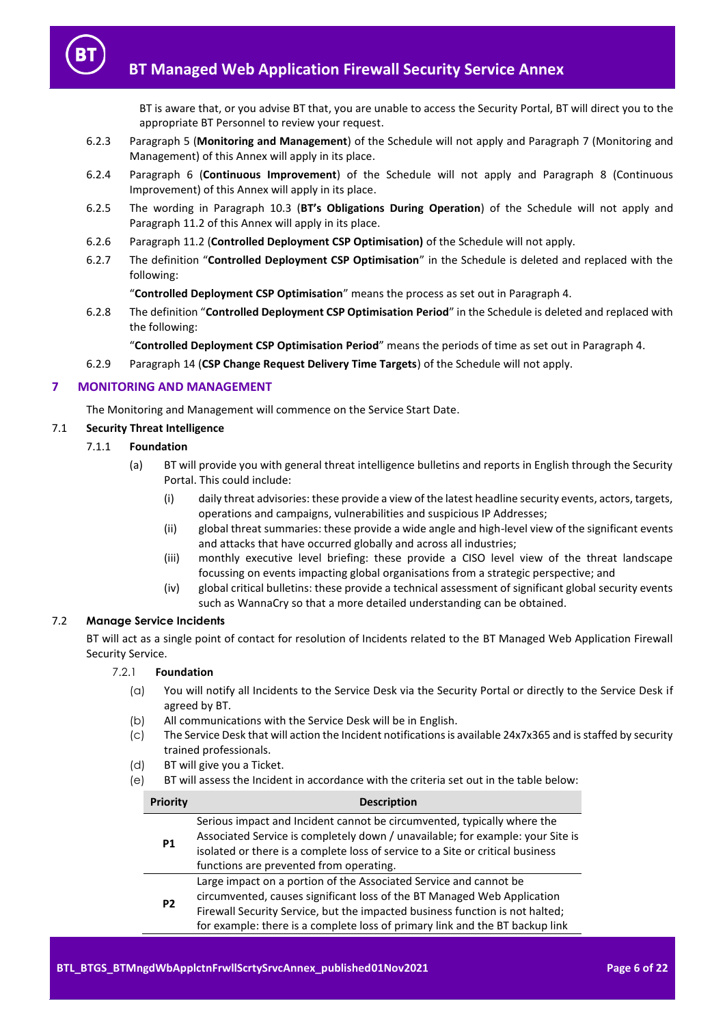BT is aware that, or you advise BT that, you are unable to access the Security Portal, BT will direct you to the appropriate BT Personnel to review your request.

- 6.2.3 Paragraph 5 (**Monitoring and Management**) of the Schedule will not apply and Paragraph [7](#page-5-0) (Monitoring and Management) of this Annex will apply in its place.
- 6.2.4 Paragraph 6 (**Continuous Improvement**) of the Schedule will not apply and Paragraph [8](#page-9-0) (Continuous Improvement) of this Annex will apply in its place.
- 6.2.5 The wording in Paragraph 10.3 (**BT's Obligations During Operation**) of the Schedule will not apply and Paragrap[h 11.2](#page-13-3) of this Annex will apply in its place.
- 6.2.6 Paragraph 11.2 (**Controlled Deployment CSP Optimisation)** of the Schedule will not apply.
- 6.2.7 The definition "**Controlled Deployment CSP Optimisation**" in the Schedule is deleted and replaced with the following:

"**Controlled Deployment CSP Optimisation**" means the process as set out in Paragraph 4.

6.2.8 The definition "**Controlled Deployment CSP Optimisation Period**" in the Schedule is deleted and replaced with the following:

"**Controlled Deployment CSP Optimisation Period**" means the periods of time as set out in Paragraph 4.

6.2.9 Paragraph 14 (**CSP Change Request Delivery Time Targets**) of the Schedule will not apply.

# <span id="page-5-0"></span>**7 MONITORING AND MANAGEMENT**

The Monitoring and Management will commence on the Service Start Date.

# 7.1 **Security Threat Intelligence**

- 7.1.1 **Foundation**
	- (a) BT will provide you with general threat intelligence bulletins and reports in English through the Security Portal. This could include:
		- (i) daily threat advisories: these provide a view of the latest headline security events, actors, targets, operations and campaigns, vulnerabilities and suspicious IP Addresses;
		- (ii) global threat summaries: these provide a wide angle and high-level view of the significant events and attacks that have occurred globally and across all industries;
		- (iii) monthly executive level briefing: these provide a CISO level view of the threat landscape focussing on events impacting global organisations from a strategic perspective; and
		- (iv) global critical bulletins: these provide a technical assessment of significant global security events such as WannaCry so that a more detailed understanding can be obtained.

# 7.2 **Manage Service Incidents**

BT will act as a single point of contact for resolution of Incidents related to the BT Managed Web Application Firewall Security Service.

# 7.2.1 **Foundation**

- (a) You will notify all Incidents to the Service Desk via the Security Portal or directly to the Service Desk if agreed by BT.
- (b) All communications with the Service Desk will be in English.
- (c) The Service Desk that will action the Incident notifications is available 24x7x365 and is staffed by security trained professionals.
- <span id="page-5-1"></span>(d) BT will give you a Ticket.
- (e) BT will assess the Incident in accordance with the criteria set out in the table below:

| Priority  | <b>Description</b>                                                                                                                                                                                                                                                                                           |
|-----------|--------------------------------------------------------------------------------------------------------------------------------------------------------------------------------------------------------------------------------------------------------------------------------------------------------------|
| <b>P1</b> | Serious impact and Incident cannot be circumvented, typically where the<br>Associated Service is completely down / unavailable; for example: your Site is<br>isolated or there is a complete loss of service to a Site or critical business<br>functions are prevented from operating.                       |
| <b>P2</b> | Large impact on a portion of the Associated Service and cannot be<br>circumvented, causes significant loss of the BT Managed Web Application<br>Firewall Security Service, but the impacted business function is not halted;<br>for example: there is a complete loss of primary link and the BT backup link |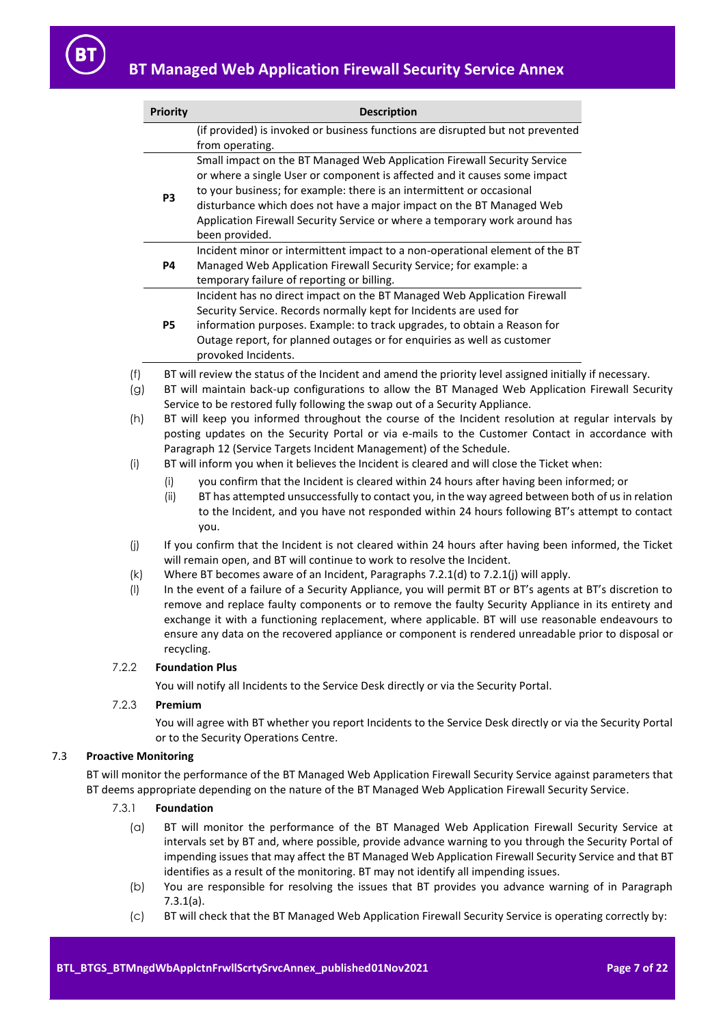|     | <b>Priority</b>                                                                                    | <b>Description</b>                                                                                      |  |  |  |  |  |
|-----|----------------------------------------------------------------------------------------------------|---------------------------------------------------------------------------------------------------------|--|--|--|--|--|
|     |                                                                                                    | (if provided) is invoked or business functions are disrupted but not prevented                          |  |  |  |  |  |
|     |                                                                                                    | from operating.                                                                                         |  |  |  |  |  |
|     |                                                                                                    | Small impact on the BT Managed Web Application Firewall Security Service                                |  |  |  |  |  |
|     |                                                                                                    | or where a single User or component is affected and it causes some impact                               |  |  |  |  |  |
|     | P <sub>3</sub>                                                                                     | to your business; for example: there is an intermittent or occasional                                   |  |  |  |  |  |
|     |                                                                                                    | disturbance which does not have a major impact on the BT Managed Web                                    |  |  |  |  |  |
|     |                                                                                                    | Application Firewall Security Service or where a temporary work around has                              |  |  |  |  |  |
|     |                                                                                                    | been provided.                                                                                          |  |  |  |  |  |
|     |                                                                                                    | Incident minor or intermittent impact to a non-operational element of the BT                            |  |  |  |  |  |
|     | <b>P4</b>                                                                                          | Managed Web Application Firewall Security Service; for example: a                                       |  |  |  |  |  |
|     |                                                                                                    | temporary failure of reporting or billing.                                                              |  |  |  |  |  |
|     |                                                                                                    | Incident has no direct impact on the BT Managed Web Application Firewall                                |  |  |  |  |  |
|     |                                                                                                    | Security Service. Records normally kept for Incidents are used for                                      |  |  |  |  |  |
|     | <b>P5</b>                                                                                          | information purposes. Example: to track upgrades, to obtain a Reason for                                |  |  |  |  |  |
|     |                                                                                                    | Outage report, for planned outages or for enquiries as well as customer                                 |  |  |  |  |  |
|     |                                                                                                    | provoked Incidents.                                                                                     |  |  |  |  |  |
| (f) |                                                                                                    | BT will review the status of the Incident and amend the priority level assigned initially if necessary. |  |  |  |  |  |
| (g) | BT will maintain back-up configurations to allow the BT Managed Web Application Firewall Security  |                                                                                                         |  |  |  |  |  |
|     |                                                                                                    | Service to be restored fully following the swap out of a Security Appliance.                            |  |  |  |  |  |
| (h) | BT will keep you informed throughout the course of the Incident resolution at regular intervals by |                                                                                                         |  |  |  |  |  |
|     | posting updates on the Security Portal or via e-mails to the Customer Contact in accordance with   |                                                                                                         |  |  |  |  |  |
|     | Paragraph 12 (Service Targets Incident Management) of the Schedule.                                |                                                                                                         |  |  |  |  |  |
| (i) | BT will inform you when it believes the Incident is cleared and will close the Ticket when:        |                                                                                                         |  |  |  |  |  |

- (i) you confirm that the Incident is cleared within 24 hours after having been informed; or
- (ii) BT has attempted unsuccessfully to contact you, in the way agreed between both of us in relation to the Incident, and you have not responded within 24 hours following BT's attempt to contact you.
- <span id="page-6-0"></span>(j) If you confirm that the Incident is not cleared within 24 hours after having been informed, the Ticket will remain open, and BT will continue to work to resolve the Incident.
- (k) Where BT becomes aware of an Incident, Paragraphs [7.2.1\(d\)](#page-5-1) to [7.2.1\(j\)](#page-6-0) will apply.
- (l) In the event of a failure of a Security Appliance, you will permit BT or BT's agents at BT's discretion to remove and replace faulty components or to remove the faulty Security Appliance in its entirety and exchange it with a functioning replacement, where applicable. BT will use reasonable endeavours to ensure any data on the recovered appliance or component is rendered unreadable prior to disposal or recycling.

#### 7.2.2 **Foundation Plus**

You will notify all Incidents to the Service Desk directly or via the Security Portal.

# 7.2.3 **Premium**

You will agree with BT whether you report Incidents to the Service Desk directly or via the Security Portal or to the Security Operations Centre.

# 7.3 **Proactive Monitoring**

<span id="page-6-1"></span>BT will monitor the performance of the BT Managed Web Application Firewall Security Service against parameters that BT deems appropriate depending on the nature of the BT Managed Web Application Firewall Security Service.

- <span id="page-6-2"></span>7.3.1 **Foundation**
	- (a) BT will monitor the performance of the BT Managed Web Application Firewall Security Service at intervals set by BT and, where possible, provide advance warning to you through the Security Portal of impending issues that may affect the BT Managed Web Application Firewall Security Service and that BT identifies as a result of the monitoring. BT may not identify all impending issues.
	- (b) You are responsible for resolving the issues that BT provides you advance warning of in Paragraph [7.3.1\(a\).](#page-6-1)
	- (c) BT will check that the BT Managed Web Application Firewall Security Service is operating correctly by: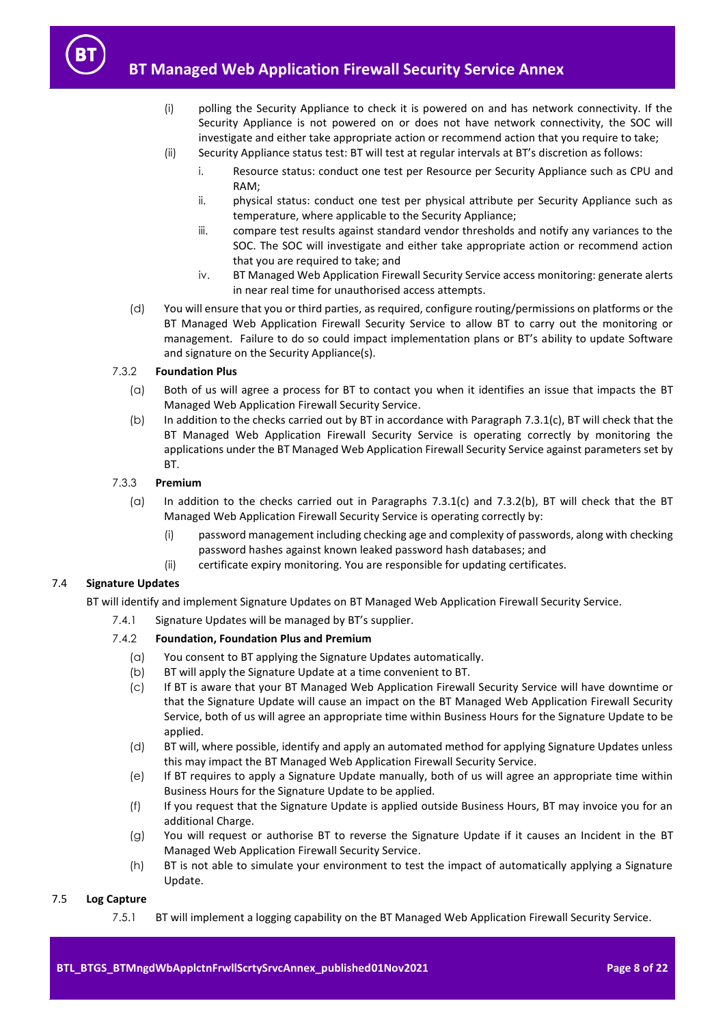- (i) polling the Security Appliance to check it is powered on and has network connectivity. If the Security Appliance is not powered on or does not have network connectivity, the SOC will investigate and either take appropriate action or recommend action that you require to take;
- (ii) Security Appliance status test: BT will test at regular intervals at BT's discretion as follows:
	- i. Resource status: conduct one test per Resource per Security Appliance such as CPU and RAM;
	- ii. physical status: conduct one test per physical attribute per Security Appliance such as temperature, where applicable to the Security Appliance;
	- iii. compare test results against standard vendor thresholds and notify any variances to the SOC. The SOC will investigate and either take appropriate action or recommend action that you are required to take; and
	- iv. BT Managed Web Application Firewall Security Service access monitoring: generate alerts in near real time for unauthorised access attempts.
- (d) You will ensure that you or third parties, as required, configure routing/permissions on platforms or the BT Managed Web Application Firewall Security Service to allow BT to carry out the monitoring or management. Failure to do so could impact implementation plans or BT's ability to update Software and signature on the Security Appliance(s).

# <span id="page-7-0"></span>7.3.2 **Foundation Plus**

- (a) Both of us will agree a process for BT to contact you when it identifies an issue that impacts the BT Managed Web Application Firewall Security Service.
- (b) In addition to the checks carried out by BT in accordance with Paragraph [7.3.1\(c\),](#page-6-2) BT will check that the BT Managed Web Application Firewall Security Service is operating correctly by monitoring the applications under the BT Managed Web Application Firewall Security Service against parameters set by BT.

# 7.3.3 **Premium**

- (a) In addition to the checks carried out in Paragraphs [7.3.1\(c\)](#page-6-2) and [7.3.2\(b\),](#page-7-0) BT will check that the BT Managed Web Application Firewall Security Service is operating correctly by:
	- (i) password management including checking age and complexity of passwords, along with checking password hashes against known leaked password hash databases; and
	- (ii) certificate expiry monitoring. You are responsible for updating certificates.

# 7.4 **Signature Updates**

BT will identify and implement Signature Updates on BT Managed Web Application Firewall Security Service.

7.4.1 Signature Updates will be managed by BT's supplier.

# 7.4.2 **Foundation, Foundation Plus and Premium**

- (a) You consent to BT applying the Signature Updates automatically.
- (b) BT will apply the Signature Update at a time convenient to BT.
- (c) If BT is aware that your BT Managed Web Application Firewall Security Service will have downtime or that the Signature Update will cause an impact on the BT Managed Web Application Firewall Security Service, both of us will agree an appropriate time within Business Hours for the Signature Update to be applied.
- (d) BT will, where possible, identify and apply an automated method for applying Signature Updates unless this may impact the BT Managed Web Application Firewall Security Service.
- (e) If BT requires to apply a Signature Update manually, both of us will agree an appropriate time within Business Hours for the Signature Update to be applied.
- (f) If you request that the Signature Update is applied outside Business Hours, BT may invoice you for an additional Charge.
- (g) You will request or authorise BT to reverse the Signature Update if it causes an Incident in the BT Managed Web Application Firewall Security Service.
- (h) BT is not able to simulate your environment to test the impact of automatically applying a Signature Update.

# <span id="page-7-1"></span>7.5 **Log Capture**

7.5.1 BT will implement a logging capability on the BT Managed Web Application Firewall Security Service.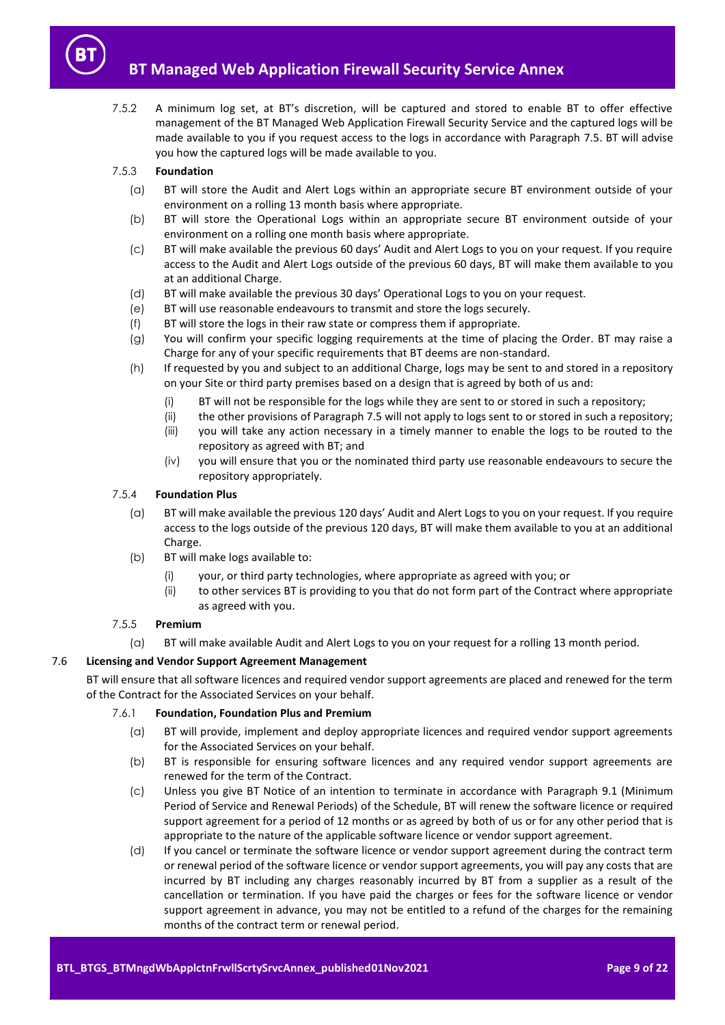7.5.2 A minimum log set, at BT's discretion, will be captured and stored to enable BT to offer effective management of the BT Managed Web Application Firewall Security Service and the captured logs will be made available to you if you request access to the logs in accordance with Paragraph [7.5.](#page-7-1) BT will advise you how the captured logs will be made available to you.

# 7.5.3 **Foundation**

- (a) BT will store the Audit and Alert Logs within an appropriate secure BT environment outside of your environment on a rolling 13 month basis where appropriate.
- (b) BT will store the Operational Logs within an appropriate secure BT environment outside of your environment on a rolling one month basis where appropriate.
- (c) BT will make available the previous 60 days' Audit and Alert Logs to you on your request. If you require access to the Audit and Alert Logs outside of the previous 60 days, BT will make them available to you at an additional Charge.
- (d) BT will make available the previous 30 days' Operational Logs to you on your request.
- (e) BT will use reasonable endeavours to transmit and store the logs securely.
- (f) BT will store the logs in their raw state or compress them if appropriate.
- (g) You will confirm your specific logging requirements at the time of placing the Order. BT may raise a Charge for any of your specific requirements that BT deems are non-standard.
- (h) If requested by you and subject to an additional Charge, logs may be sent to and stored in a repository on your Site or third party premises based on a design that is agreed by both of us and:
	- (i) BT will not be responsible for the logs while they are sent to or stored in such a repository;
	- (ii) the other provisions of Paragrap[h 7.5](#page-7-1) will not apply to logs sent to or stored in such a repository;
	- (iii) you will take any action necessary in a timely manner to enable the logs to be routed to the repository as agreed with BT; and
	- (iv) you will ensure that you or the nominated third party use reasonable endeavours to secure the repository appropriately.

# 7.5.4 **Foundation Plus**

- (a) BT will make available the previous 120 days' Audit and Alert Logs to you on your request. If you require access to the logs outside of the previous 120 days, BT will make them available to you at an additional Charge.
- (b) BT will make logs available to:
	- (i) your, or third party technologies, where appropriate as agreed with you; or
	- (ii) to other services BT is providing to you that do not form part of the Contract where appropriate as agreed with you.
- 7.5.5 **Premium**
	- (a) BT will make available Audit and Alert Logs to you on your request for a rolling 13 month period.

# 7.6 **Licensing and Vendor Support Agreement Management**

BT will ensure that all software licences and required vendor support agreements are placed and renewed for the term of the Contract for the Associated Services on your behalf.

# 7.6.1 **Foundation, Foundation Plus and Premium**

- (a) BT will provide, implement and deploy appropriate licences and required vendor support agreements for the Associated Services on your behalf.
- (b) BT is responsible for ensuring software licences and any required vendor support agreements are renewed for the term of the Contract.
- (c) Unless you give BT Notice of an intention to terminate in accordance with Paragraph 9.1 (Minimum Period of Service and Renewal Periods) of the Schedule, BT will renew the software licence or required support agreement for a period of 12 months or as agreed by both of us or for any other period that is appropriate to the nature of the applicable software licence or vendor support agreement.
- (d) If you cancel or terminate the software licence or vendor support agreement during the contract term or renewal period of the software licence or vendor support agreements, you will pay any costs that are incurred by BT including any charges reasonably incurred by BT from a supplier as a result of the cancellation or termination. If you have paid the charges or fees for the software licence or vendor support agreement in advance, you may not be entitled to a refund of the charges for the remaining months of the contract term or renewal period.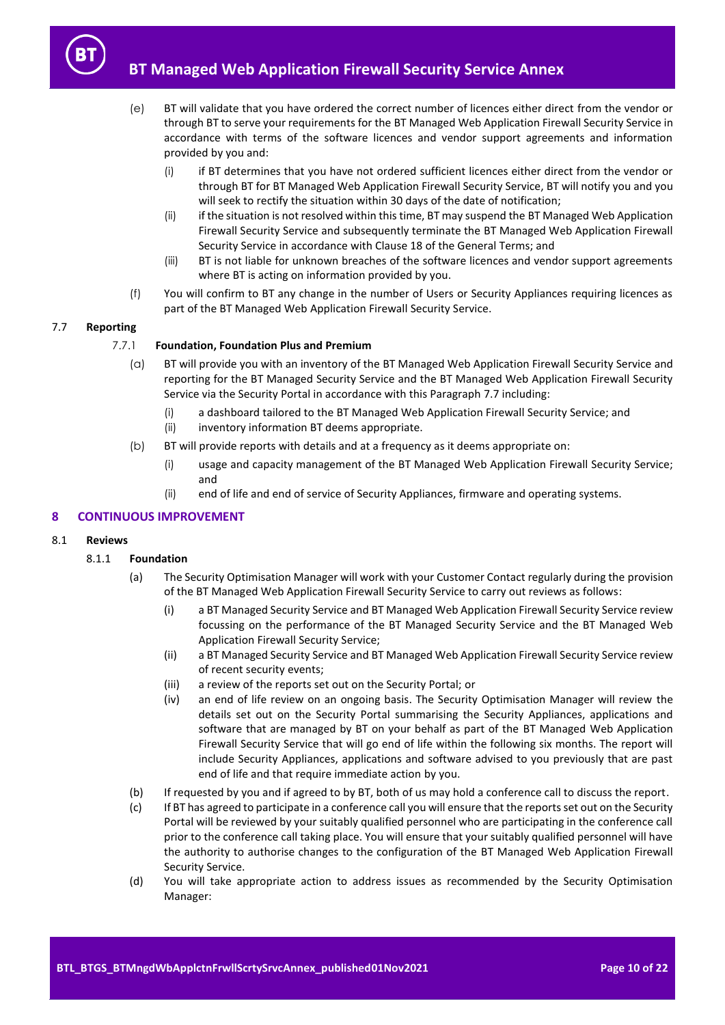

- (e) BT will validate that you have ordered the correct number of licences either direct from the vendor or through BT to serve your requirements for the BT Managed Web Application Firewall Security Service in accordance with terms of the software licences and vendor support agreements and information provided by you and:
	- (i) if BT determines that you have not ordered sufficient licences either direct from the vendor or through BT for BT Managed Web Application Firewall Security Service, BT will notify you and you will seek to rectify the situation within 30 days of the date of notification;
	- (ii) if the situation is not resolved within this time, BT may suspend the BT Managed Web Application Firewall Security Service and subsequently terminate the BT Managed Web Application Firewall Security Service in accordance with Clause 18 of the General Terms; and
	- (iii) BT is not liable for unknown breaches of the software licences and vendor support agreements where BT is acting on information provided by you.
- (f) You will confirm to BT any change in the number of Users or Security Appliances requiring licences as part of the BT Managed Web Application Firewall Security Service.

# <span id="page-9-1"></span>7.7 **Reporting**

# 7.7.1 **Foundation, Foundation Plus and Premium**

- (a) BT will provide you with an inventory of the BT Managed Web Application Firewall Security Service and reporting for the BT Managed Security Service and the BT Managed Web Application Firewall Security Service via the Security Portal in accordance with this Paragraph [7.7](#page-9-1) including:
	- (i) a dashboard tailored to the BT Managed Web Application Firewall Security Service; and
	- (ii) inventory information BT deems appropriate.
- (b) BT will provide reports with details and at a frequency as it deems appropriate on:
	- (i) usage and capacity management of the BT Managed Web Application Firewall Security Service; and
	- (ii) end of life and end of service of Security Appliances, firmware and operating systems.

# <span id="page-9-0"></span>**8 CONTINUOUS IMPROVEMENT**

# 8.1 **Reviews**

# 8.1.1 **Foundation**

- (a) The Security Optimisation Manager will work with your Customer Contact regularly during the provision of the BT Managed Web Application Firewall Security Service to carry out reviews as follows:
	- (i) a BT Managed Security Service and BT Managed Web Application Firewall Security Service review focussing on the performance of the BT Managed Security Service and the BT Managed Web Application Firewall Security Service;
	- (ii) a BT Managed Security Service and BT Managed Web Application Firewall Security Service review of recent security events;
	- (iii) a review of the reports set out on the Security Portal; or
	- (iv) an end of life review on an ongoing basis. The Security Optimisation Manager will review the details set out on the Security Portal summarising the Security Appliances, applications and software that are managed by BT on your behalf as part of the BT Managed Web Application Firewall Security Service that will go end of life within the following six months. The report will include Security Appliances, applications and software advised to you previously that are past end of life and that require immediate action by you.
- <span id="page-9-2"></span>(b) If requested by you and if agreed to by BT, both of us may hold a conference call to discuss the report.
- (c) If BT has agreed to participate in a conference call you will ensure that the reports set out on the Security Portal will be reviewed by your suitably qualified personnel who are participating in the conference call prior to the conference call taking place. You will ensure that your suitably qualified personnel will have the authority to authorise changes to the configuration of the BT Managed Web Application Firewall Security Service.
- <span id="page-9-3"></span>(d) You will take appropriate action to address issues as recommended by the Security Optimisation Manager: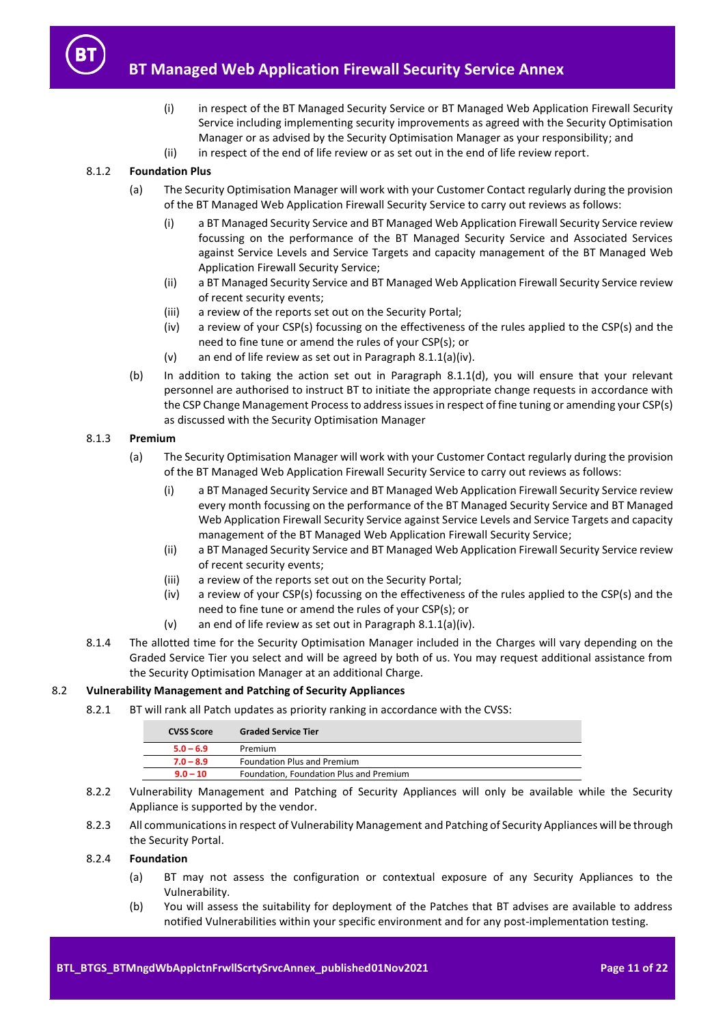

- (i) in respect of the BT Managed Security Service or BT Managed Web Application Firewall Security Service including implementing security improvements as agreed with the Security Optimisation Manager or as advised by the Security Optimisation Manager as your responsibility; and
- (ii) in respect of the end of life review or as set out in the end of life review report.

# 8.1.2 **Foundation Plus**

- (a) The Security Optimisation Manager will work with your Customer Contact regularly during the provision of the BT Managed Web Application Firewall Security Service to carry out reviews as follows:
	- (i) a BT Managed Security Service and BT Managed Web Application Firewall Security Service review focussing on the performance of the BT Managed Security Service and Associated Services against Service Levels and Service Targets and capacity management of the BT Managed Web Application Firewall Security Service;
	- (ii) a BT Managed Security Service and BT Managed Web Application Firewall Security Service review of recent security events;
	- (iii) a review of the reports set out on the Security Portal;
	- (iv) a review of your CSP(s) focussing on the effectiveness of the rules applied to the CSP(s) and the need to fine tune or amend the rules of your CSP(s); or
	- (v) an end of life review as set out in Paragrap[h 8.1.1\(a\)\(iv\).](#page-9-2)
- (b) In addition to taking the action set out in Paragraph [8.1.1\(d\),](#page-9-3) you will ensure that your relevant personnel are authorised to instruct BT to initiate the appropriate change requests in accordance with the CSP Change Management Process to address issues in respect of fine tuning or amending your CSP(s) as discussed with the Security Optimisation Manager

# 8.1.3 **Premium**

- (a) The Security Optimisation Manager will work with your Customer Contact regularly during the provision of the BT Managed Web Application Firewall Security Service to carry out reviews as follows:
	- (i) a BT Managed Security Service and BT Managed Web Application Firewall Security Service review every month focussing on the performance of the BT Managed Security Service and BT Managed Web Application Firewall Security Service against Service Levels and Service Targets and capacity management of the BT Managed Web Application Firewall Security Service;
	- (ii) a BT Managed Security Service and BT Managed Web Application Firewall Security Service review of recent security events;
	- (iii) a review of the reports set out on the Security Portal;
	- (iv) a review of your CSP(s) focussing on the effectiveness of the rules applied to the CSP(s) and the need to fine tune or amend the rules of your CSP(s); or
	- (v) an end of life review as set out in Paragrap[h 8.1.1\(a\)\(iv\).](#page-9-2)
- 8.1.4 The allotted time for the Security Optimisation Manager included in the Charges will vary depending on the Graded Service Tier you select and will be agreed by both of us. You may request additional assistance from the Security Optimisation Manager at an additional Charge.

# 8.2 **Vulnerability Management and Patching of Security Appliances**

8.2.1 BT will rank all Patch updates as priority ranking in accordance with the CVSS:

| <b>CVSS Score</b> | <b>Graded Service Tier</b>              |
|-------------------|-----------------------------------------|
| $5.0 - 6.9$       | Premium                                 |
| $7.0 - 8.9$       | Foundation Plus and Premium             |
| $9.0 - 10$        | Foundation, Foundation Plus and Premium |

- 8.2.2 Vulnerability Management and Patching of Security Appliances will only be available while the Security Appliance is supported by the vendor.
- 8.2.3 All communications in respect of Vulnerability Management and Patching of Security Appliances will be through the Security Portal.

# 8.2.4 **Foundation**

- (a) BT may not assess the configuration or contextual exposure of any Security Appliances to the Vulnerability.
- (b) You will assess the suitability for deployment of the Patches that BT advises are available to address notified Vulnerabilities within your specific environment and for any post-implementation testing.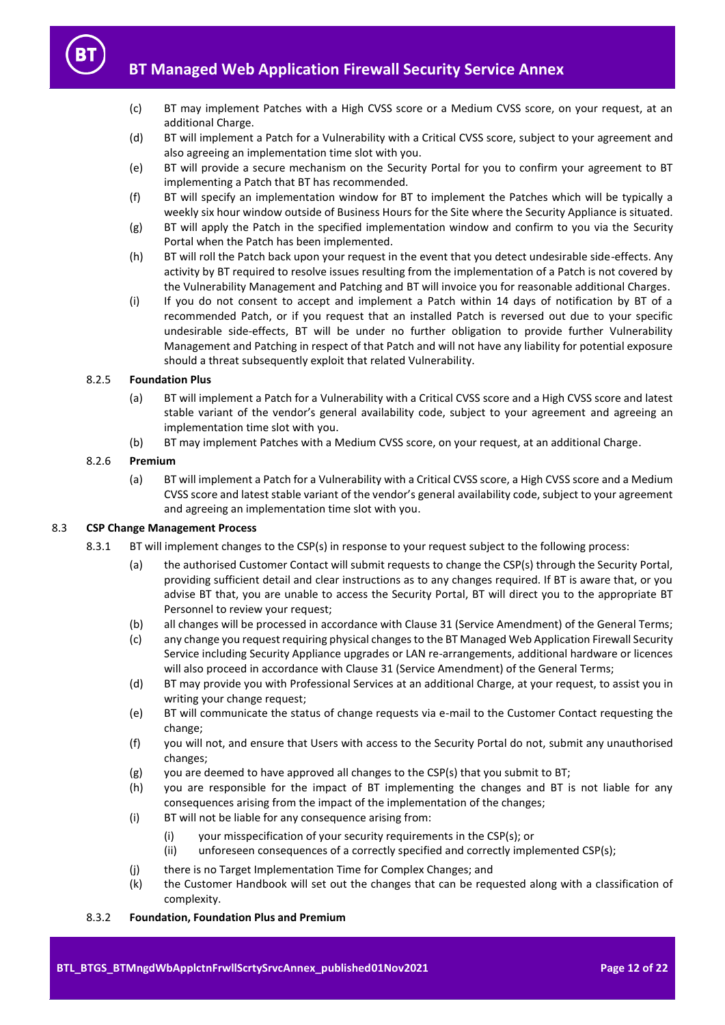- (c) BT may implement Patches with a High CVSS score or a Medium CVSS score, on your request, at an additional Charge.
- (d) BT will implement a Patch for a Vulnerability with a Critical CVSS score, subject to your agreement and also agreeing an implementation time slot with you.
- (e) BT will provide a secure mechanism on the Security Portal for you to confirm your agreement to BT implementing a Patch that BT has recommended.
- (f) BT will specify an implementation window for BT to implement the Patches which will be typically a weekly six hour window outside of Business Hours for the Site where the Security Appliance is situated.
- (g) BT will apply the Patch in the specified implementation window and confirm to you via the Security Portal when the Patch has been implemented.
- (h) BT will roll the Patch back upon your request in the event that you detect undesirable side-effects. Any activity by BT required to resolve issues resulting from the implementation of a Patch is not covered by the Vulnerability Management and Patching and BT will invoice you for reasonable additional Charges.
- (i) If you do not consent to accept and implement a Patch within 14 days of notification by BT of a recommended Patch, or if you request that an installed Patch is reversed out due to your specific undesirable side-effects, BT will be under no further obligation to provide further Vulnerability Management and Patching in respect of that Patch and will not have any liability for potential exposure should a threat subsequently exploit that related Vulnerability.

# 8.2.5 **Foundation Plus**

- (a) BT will implement a Patch for a Vulnerability with a Critical CVSS score and a High CVSS score and latest stable variant of the vendor's general availability code, subject to your agreement and agreeing an implementation time slot with you.
- (b) BT may implement Patches with a Medium CVSS score, on your request, at an additional Charge.

## 8.2.6 **Premium**

(a) BT will implement a Patch for a Vulnerability with a Critical CVSS score, a High CVSS score and a Medium CVSS score and latest stable variant of the vendor's general availability code, subject to your agreement and agreeing an implementation time slot with you.

# 8.3 **CSP Change Management Process**

- 8.3.1 BT will implement changes to the CSP(s) in response to your request subject to the following process:
	- (a) the authorised Customer Contact will submit requests to change the CSP(s) through the Security Portal, providing sufficient detail and clear instructions as to any changes required. If BT is aware that, or you advise BT that, you are unable to access the Security Portal, BT will direct you to the appropriate BT Personnel to review your request;
	- (b) all changes will be processed in accordance with Clause 31 (Service Amendment) of the General Terms;
	- (c) any change you request requiring physical changes to the BT Managed Web Application Firewall Security Service including Security Appliance upgrades or LAN re-arrangements, additional hardware or licences will also proceed in accordance with Clause 31 (Service Amendment) of the General Terms;
	- (d) BT may provide you with Professional Services at an additional Charge, at your request, to assist you in writing your change request;
	- (e) BT will communicate the status of change requests via e-mail to the Customer Contact requesting the change;
	- (f) you will not, and ensure that Users with access to the Security Portal do not, submit any unauthorised changes;
	- (g) you are deemed to have approved all changes to the CSP(s) that you submit to BT;
	- (h) you are responsible for the impact of BT implementing the changes and BT is not liable for any consequences arising from the impact of the implementation of the changes;
	- (i) BT will not be liable for any consequence arising from:
		- (i) your misspecification of your security requirements in the CSP(s); or
		- (ii) unforeseen consequences of a correctly specified and correctly implemented CSP(s);
	- (j) there is no Target Implementation Time for Complex Changes; and
	- (k) the Customer Handbook will set out the changes that can be requested along with a classification of complexity.

#### 8.3.2 **Foundation, Foundation Plus and Premium**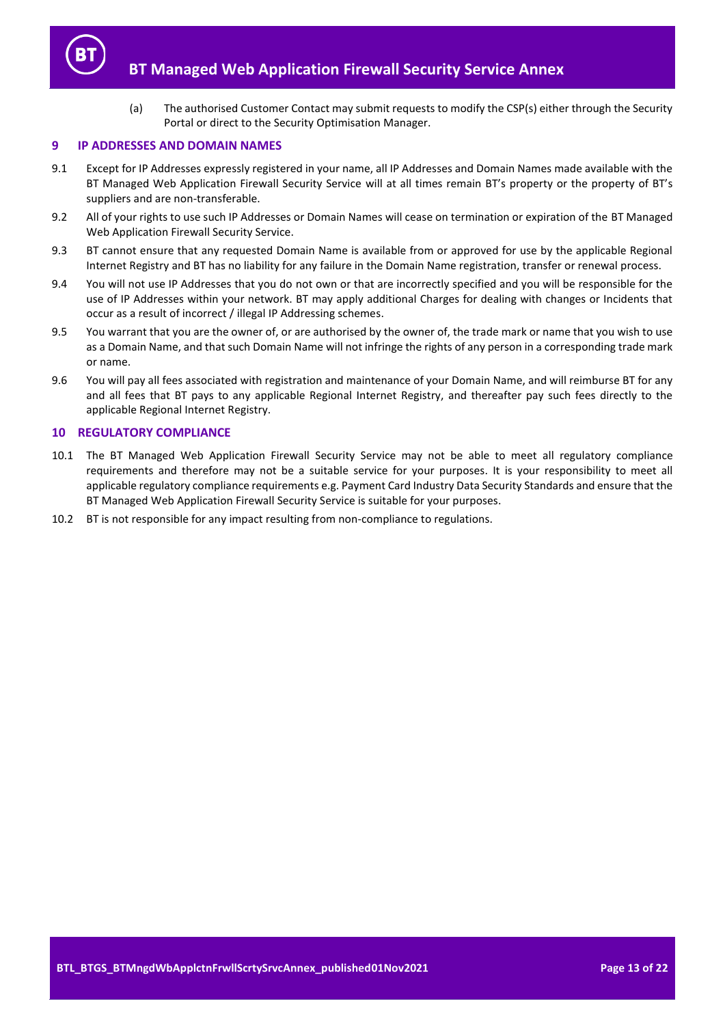

(a) The authorised Customer Contact may submit requests to modify the CSP(s) either through the Security Portal or direct to the Security Optimisation Manager.

#### <span id="page-12-0"></span>**9 IP ADDRESSES AND DOMAIN NAMES**

- 9.1 Except for IP Addresses expressly registered in your name, all IP Addresses and Domain Names made available with the BT Managed Web Application Firewall Security Service will at all times remain BT's property or the property of BT's suppliers and are non-transferable.
- 9.2 All of your rights to use such IP Addresses or Domain Names will cease on termination or expiration of the BT Managed Web Application Firewall Security Service.
- 9.3 BT cannot ensure that any requested Domain Name is available from or approved for use by the applicable Regional Internet Registry and BT has no liability for any failure in the Domain Name registration, transfer or renewal process.
- 9.4 You will not use IP Addresses that you do not own or that are incorrectly specified and you will be responsible for the use of IP Addresses within your network. BT may apply additional Charges for dealing with changes or Incidents that occur as a result of incorrect / illegal IP Addressing schemes.
- 9.5 You warrant that you are the owner of, or are authorised by the owner of, the trade mark or name that you wish to use as a Domain Name, and that such Domain Name will not infringe the rights of any person in a corresponding trade mark or name.
- 9.6 You will pay all fees associated with registration and maintenance of your Domain Name, and will reimburse BT for any and all fees that BT pays to any applicable Regional Internet Registry, and thereafter pay such fees directly to the applicable Regional Internet Registry.

# **10 REGULATORY COMPLIANCE**

- 10.1 The BT Managed Web Application Firewall Security Service may not be able to meet all regulatory compliance requirements and therefore may not be a suitable service for your purposes. It is your responsibility to meet all applicable regulatory compliance requirements e.g. Payment Card Industry Data Security Standards and ensure that the BT Managed Web Application Firewall Security Service is suitable for your purposes.
- 10.2 BT is not responsible for any impact resulting from non-compliance to regulations.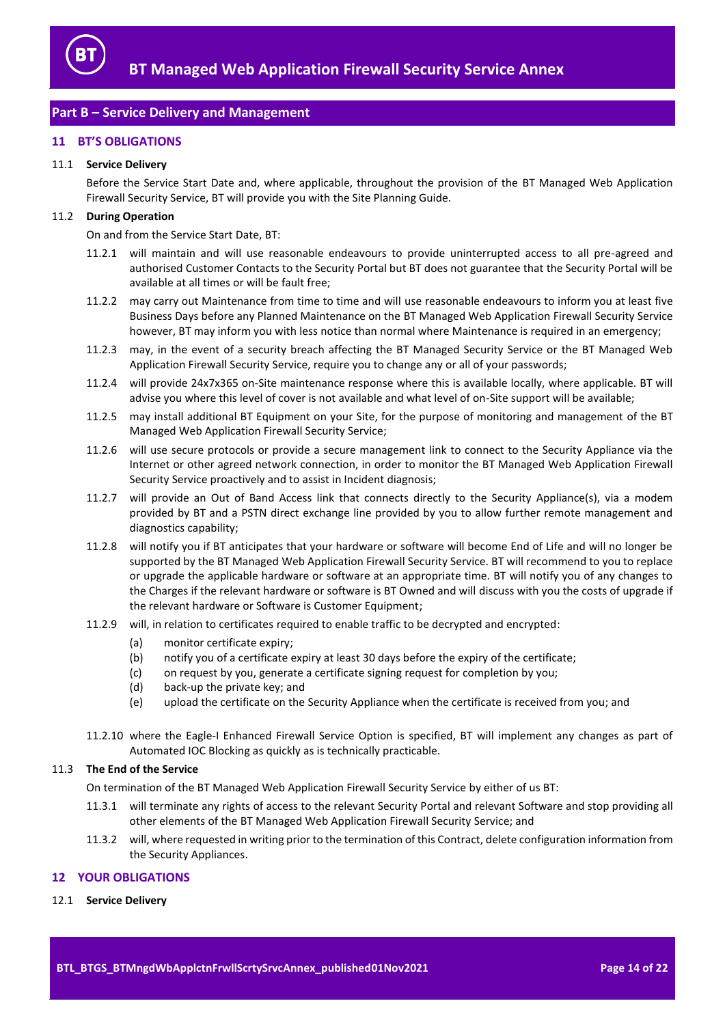

# <span id="page-13-0"></span>**Part B – Service Delivery and Management**

# <span id="page-13-1"></span>**11 BT'S OBLIGATIONS**

#### 11.1 **Service Delivery**

Before the Service Start Date and, where applicable, throughout the provision of the BT Managed Web Application Firewall Security Service, BT will provide you with the Site Planning Guide.

# <span id="page-13-3"></span>11.2 **During Operation**

On and from the Service Start Date, BT:

- 11.2.1 will maintain and will use reasonable endeavours to provide uninterrupted access to all pre-agreed and authorised Customer Contacts to the Security Portal but BT does not guarantee that the Security Portal will be available at all times or will be fault free;
- 11.2.2 may carry out Maintenance from time to time and will use reasonable endeavours to inform you at least five Business Days before any Planned Maintenance on the BT Managed Web Application Firewall Security Service however, BT may inform you with less notice than normal where Maintenance is required in an emergency;
- 11.2.3 may, in the event of a security breach affecting the BT Managed Security Service or the BT Managed Web Application Firewall Security Service, require you to change any or all of your passwords;
- 11.2.4 will provide 24x7x365 on-Site maintenance response where this is available locally, where applicable. BT will advise you where this level of cover is not available and what level of on-Site support will be available;
- 11.2.5 may install additional BT Equipment on your Site, for the purpose of monitoring and management of the BT Managed Web Application Firewall Security Service;
- 11.2.6 will use secure protocols or provide a secure management link to connect to the Security Appliance via the Internet or other agreed network connection, in order to monitor the BT Managed Web Application Firewall Security Service proactively and to assist in Incident diagnosis;
- 11.2.7 will provide an Out of Band Access link that connects directly to the Security Appliance(s), via a modem provided by BT and a PSTN direct exchange line provided by you to allow further remote management and diagnostics capability;
- <span id="page-13-4"></span>11.2.8 will notify you if BT anticipates that your hardware or software will become End of Life and will no longer be supported by the BT Managed Web Application Firewall Security Service. BT will recommend to you to replace or upgrade the applicable hardware or software at an appropriate time. BT will notify you of any changes to the Charges if the relevant hardware or software is BT Owned and will discuss with you the costs of upgrade if the relevant hardware or Software is Customer Equipment;
- 11.2.9 will, in relation to certificates required to enable traffic to be decrypted and encrypted:
	- (a) monitor certificate expiry;
	- (b) notify you of a certificate expiry at least 30 days before the expiry of the certificate;
	- (c) on request by you, generate a certificate signing request for completion by you;
	- (d) back-up the private key; and
	- (e) upload the certificate on the Security Appliance when the certificate is received from you; and
- 11.2.10 where the Eagle-I Enhanced Firewall Service Option is specified, BT will implement any changes as part of Automated IOC Blocking as quickly as is technically practicable.

#### 11.3 **The End of the Service**

On termination of the BT Managed Web Application Firewall Security Service by either of us BT:

- 11.3.1 will terminate any rights of access to the relevant Security Portal and relevant Software and stop providing all other elements of the BT Managed Web Application Firewall Security Service; and
- 11.3.2 will, where requested in writing prior to the termination of this Contract, delete configuration information from the Security Appliances.

#### <span id="page-13-2"></span>**12 YOUR OBLIGATIONS**

12.1 **Service Delivery**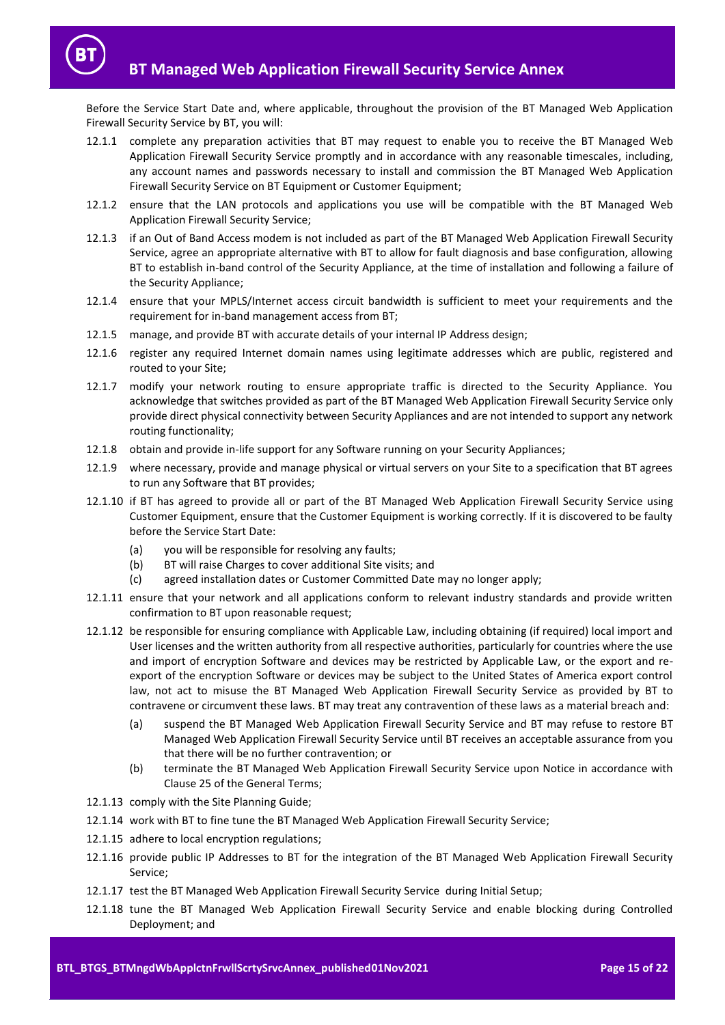Before the Service Start Date and, where applicable, throughout the provision of the BT Managed Web Application Firewall Security Service by BT, you will:

- 12.1.1 complete any preparation activities that BT may request to enable you to receive the BT Managed Web Application Firewall Security Service promptly and in accordance with any reasonable timescales, including, any account names and passwords necessary to install and commission the BT Managed Web Application Firewall Security Service on BT Equipment or Customer Equipment;
- 12.1.2 ensure that the LAN protocols and applications you use will be compatible with the BT Managed Web Application Firewall Security Service;
- 12.1.3 if an Out of Band Access modem is not included as part of the BT Managed Web Application Firewall Security Service, agree an appropriate alternative with BT to allow for fault diagnosis and base configuration, allowing BT to establish in-band control of the Security Appliance, at the time of installation and following a failure of the Security Appliance;
- 12.1.4 ensure that your MPLS/Internet access circuit bandwidth is sufficient to meet your requirements and the requirement for in-band management access from BT;
- 12.1.5 manage, and provide BT with accurate details of your internal IP Address design;
- 12.1.6 register any required Internet domain names using legitimate addresses which are public, registered and routed to your Site;
- 12.1.7 modify your network routing to ensure appropriate traffic is directed to the Security Appliance. You acknowledge that switches provided as part of the BT Managed Web Application Firewall Security Service only provide direct physical connectivity between Security Appliances and are not intended to support any network routing functionality;
- 12.1.8 obtain and provide in-life support for any Software running on your Security Appliances;
- 12.1.9 where necessary, provide and manage physical or virtual servers on your Site to a specification that BT agrees to run any Software that BT provides;
- 12.1.10 if BT has agreed to provide all or part of the BT Managed Web Application Firewall Security Service using Customer Equipment, ensure that the Customer Equipment is working correctly. If it is discovered to be faulty before the Service Start Date:
	- (a) you will be responsible for resolving any faults;
	- (b) BT will raise Charges to cover additional Site visits; and
	- (c) agreed installation dates or Customer Committed Date may no longer apply;
- 12.1.11 ensure that your network and all applications conform to relevant industry standards and provide written confirmation to BT upon reasonable request;
- 12.1.12 be responsible for ensuring compliance with Applicable Law, including obtaining (if required) local import and User licenses and the written authority from all respective authorities, particularly for countries where the use and import of encryption Software and devices may be restricted by Applicable Law, or the export and reexport of the encryption Software or devices may be subject to the United States of America export control law, not act to misuse the BT Managed Web Application Firewall Security Service as provided by BT to contravene or circumvent these laws. BT may treat any contravention of these laws as a material breach and:
	- (a) suspend the BT Managed Web Application Firewall Security Service and BT may refuse to restore BT Managed Web Application Firewall Security Service until BT receives an acceptable assurance from you that there will be no further contravention; or
	- (b) terminate the BT Managed Web Application Firewall Security Service upon Notice in accordance with Clause 25 of the General Terms;
- 12.1.13 comply with the Site Planning Guide;
- 12.1.14 work with BT to fine tune the BT Managed Web Application Firewall Security Service;
- 12.1.15 adhere to local encryption regulations;
- 12.1.16 provide public IP Addresses to BT for the integration of the BT Managed Web Application Firewall Security Service;
- 12.1.17 test the BT Managed Web Application Firewall Security Service during Initial Setup;
- 12.1.18 tune the BT Managed Web Application Firewall Security Service and enable blocking during Controlled Deployment; and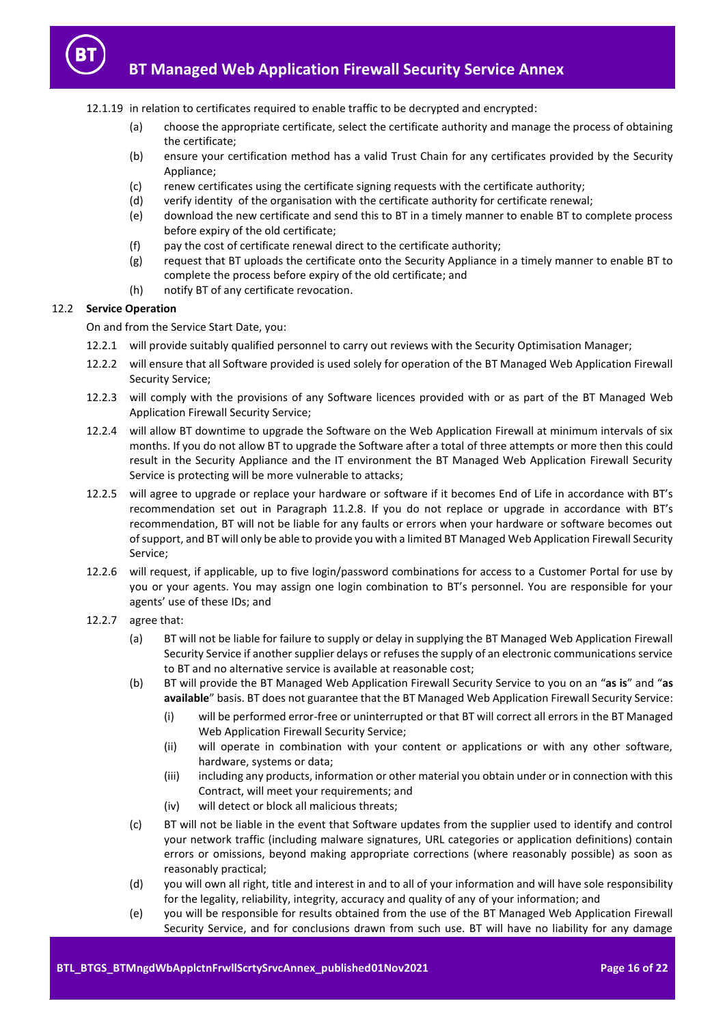- 12.1.19 in relation to certificates required to enable traffic to be decrypted and encrypted:
	- (a) choose the appropriate certificate, select the certificate authority and manage the process of obtaining the certificate;
	- (b) ensure your certification method has a valid Trust Chain for any certificates provided by the Security Appliance;
	- (c) renew certificates using the certificate signing requests with the certificate authority;
	- (d) verify identity of the organisation with the certificate authority for certificate renewal;
	- (e) download the new certificate and send this to BT in a timely manner to enable BT to complete process before expiry of the old certificate;
	- (f) pay the cost of certificate renewal direct to the certificate authority;
	- (g) request that BT uploads the certificate onto the Security Appliance in a timely manner to enable BT to complete the process before expiry of the old certificate; and
	- (h) notify BT of any certificate revocation.

# 12.2 **Service Operation**

On and from the Service Start Date, you:

- 12.2.1 will provide suitably qualified personnel to carry out reviews with the Security Optimisation Manager;
- 12.2.2 will ensure that all Software provided is used solely for operation of the BT Managed Web Application Firewall Security Service;
- 12.2.3 will comply with the provisions of any Software licences provided with or as part of the BT Managed Web Application Firewall Security Service;
- 12.2.4 will allow BT downtime to upgrade the Software on the Web Application Firewall at minimum intervals of six months. If you do not allow BT to upgrade the Software after a total of three attempts or more then this could result in the Security Appliance and the IT environment the BT Managed Web Application Firewall Security Service is protecting will be more vulnerable to attacks;
- 12.2.5 will agree to upgrade or replace your hardware or software if it becomes End of Life in accordance with BT's recommendation set out in Paragraph [11.2.8.](#page-13-4) If you do not replace or upgrade in accordance with BT's recommendation, BT will not be liable for any faults or errors when your hardware or software becomes out of support, and BT will only be able to provide you with a limited BT Managed Web Application Firewall Security Service;
- 12.2.6 will request, if applicable, up to five login/password combinations for access to a Customer Portal for use by you or your agents. You may assign one login combination to BT's personnel. You are responsible for your agents' use of these IDs; and
- 12.2.7 agree that:
	- (a) BT will not be liable for failure to supply or delay in supplying the BT Managed Web Application Firewall Security Service if another supplier delays or refuses the supply of an electronic communications service to BT and no alternative service is available at reasonable cost;
	- (b) BT will provide the BT Managed Web Application Firewall Security Service to you on an "**as is**" and "**as available**" basis. BT does not guarantee that the BT Managed Web Application Firewall Security Service:
		- (i) will be performed error-free or uninterrupted or that BT will correct all errors in the BT Managed Web Application Firewall Security Service;
		- (ii) will operate in combination with your content or applications or with any other software, hardware, systems or data;
		- (iii) including any products, information or other material you obtain under or in connection with this Contract, will meet your requirements; and
		- (iv) will detect or block all malicious threats;
	- (c) BT will not be liable in the event that Software updates from the supplier used to identify and control your network traffic (including malware signatures, URL categories or application definitions) contain errors or omissions, beyond making appropriate corrections (where reasonably possible) as soon as reasonably practical;
	- (d) you will own all right, title and interest in and to all of your information and will have sole responsibility for the legality, reliability, integrity, accuracy and quality of any of your information; and
	- (e) you will be responsible for results obtained from the use of the BT Managed Web Application Firewall Security Service, and for conclusions drawn from such use. BT will have no liability for any damage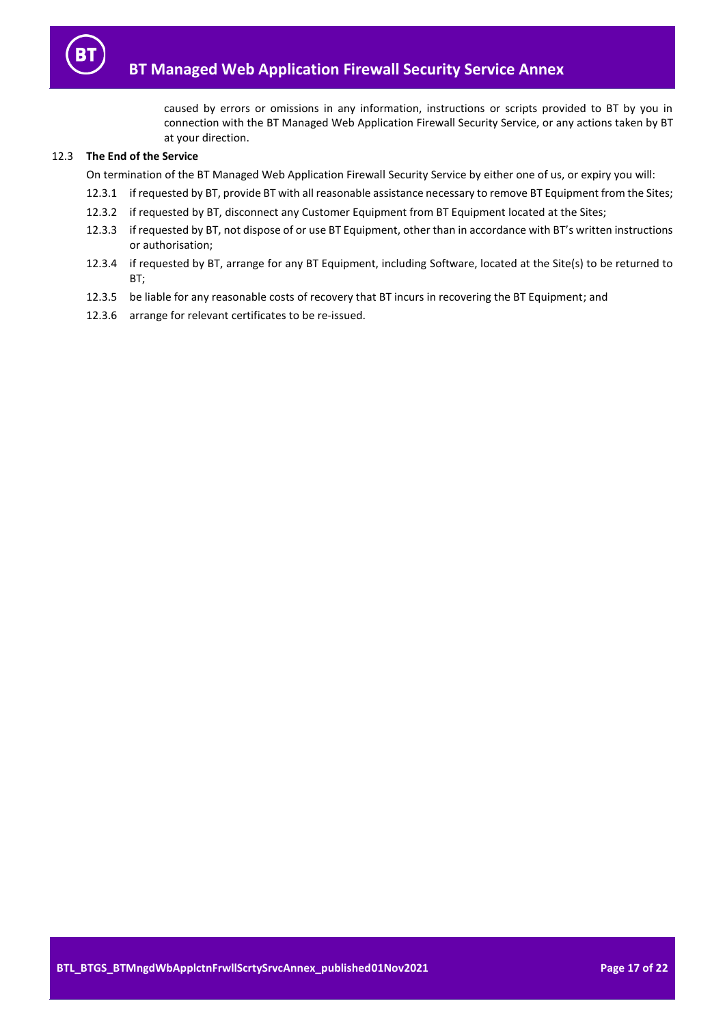

caused by errors or omissions in any information, instructions or scripts provided to BT by you in connection with the BT Managed Web Application Firewall Security Service, or any actions taken by BT at your direction.

# 12.3 **The End of the Service**

On termination of the BT Managed Web Application Firewall Security Service by either one of us, or expiry you will:

- 12.3.1 if requested by BT, provide BT with all reasonable assistance necessary to remove BT Equipment from the Sites;
- 12.3.2 if requested by BT, disconnect any Customer Equipment from BT Equipment located at the Sites;
- 12.3.3 if requested by BT, not dispose of or use BT Equipment, other than in accordance with BT's written instructions or authorisation;
- 12.3.4 if requested by BT, arrange for any BT Equipment, including Software, located at the Site(s) to be returned to BT;
- 12.3.5 be liable for any reasonable costs of recovery that BT incurs in recovering the BT Equipment; and
- 12.3.6 arrange for relevant certificates to be re-issued.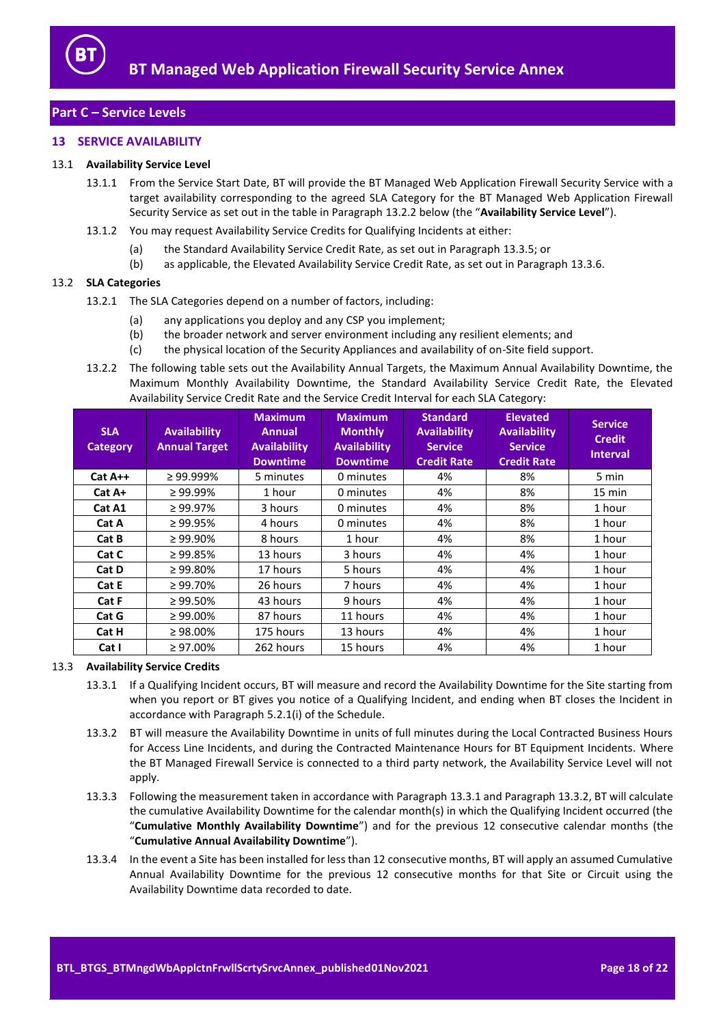

# <span id="page-17-0"></span>**Part C – Service Levels**

# <span id="page-17-1"></span>**13 SERVICE AVAILABILITY**

## <span id="page-17-6"></span><span id="page-17-5"></span>13.1 **Availability Service Level**

- 13.1.1 From the Service Start Date, BT will provide the BT Managed Web Application Firewall Security Service with a target availability corresponding to the agreed SLA Category for the BT Managed Web Application Firewall Security Service as set out in the table in Paragrap[h 13.2.2](#page-17-2) below (the "**Availability Service Level**").
- 13.1.2 You may request Availability Service Credits for Qualifying Incidents at either:
	- (a) the Standard Availability Service Credit Rate, as set out in Paragraph [13.3.5;](#page-18-2) or
	- (b) as applicable, the Elevated Availability Service Credit Rate, as set out in Paragrap[h 13.3.6.](#page-18-3)

## 13.2 **SLA Categories**

- 13.2.1 The SLA Categories depend on a number of factors, including:
	- (a) any applications you deploy and any CSP you implement;
	- (b) the broader network and server environment including any resilient elements; and
	- (c) the physical location of the Security Appliances and availability of on-Site field support.
- <span id="page-17-2"></span>13.2.2 The following table sets out the Availability Annual Targets, the Maximum Annual Availability Downtime, the Maximum Monthly Availability Downtime, the Standard Availability Service Credit Rate, the Elevated Availability Service Credit Rate and the Service Credit Interval for each SLA Category:

| <b>SLA</b><br><b>Category</b> | <b>Availability</b><br><b>Annual Target</b> | <b>Maximum</b><br><b>Annual</b><br><b>Availability</b><br><b>Downtime</b> | <b>Maximum</b><br><b>Monthly</b><br><b>Availability</b><br><b>Downtime</b> | <b>Standard</b><br><b>Availability</b><br><b>Service</b><br><b>Credit Rate</b> | <b>Elevated</b><br><b>Availability</b><br><b>Service</b><br><b>Credit Rate</b> | <b>Service</b><br><b>Credit</b><br><b>Interval</b> |
|-------------------------------|---------------------------------------------|---------------------------------------------------------------------------|----------------------------------------------------------------------------|--------------------------------------------------------------------------------|--------------------------------------------------------------------------------|----------------------------------------------------|
| $Cat A++$                     | $\geq$ 99.999%                              | 5 minutes                                                                 | 0 minutes                                                                  | 4%                                                                             | 8%                                                                             | 5 min                                              |
| Cat A+                        | $\geq 99.99\%$                              | 1 hour                                                                    | 0 minutes                                                                  | 4%                                                                             | 8%                                                                             | $15 \text{ min}$                                   |
| Cat A1                        | $\geq 99.97\%$                              | 3 hours                                                                   | 0 minutes                                                                  | 4%                                                                             | 8%                                                                             | 1 hour                                             |
| Cat A                         | $\geq 99.95\%$                              | 4 hours                                                                   | 0 minutes                                                                  | 4%                                                                             | 8%                                                                             | 1 hour                                             |
| Cat B                         | $\geq 99.90\%$                              | 8 hours                                                                   | 1 hour                                                                     | 4%                                                                             | 8%                                                                             | 1 hour                                             |
| Cat C                         | $\geq 99.85\%$                              | 13 hours                                                                  | 3 hours                                                                    | 4%                                                                             | 4%                                                                             | 1 hour                                             |
| Cat D                         | $\geq 99.80\%$                              | 17 hours                                                                  | 5 hours                                                                    | 4%                                                                             | 4%                                                                             | 1 hour                                             |
| Cat E                         | $\geq 99.70\%$                              | 26 hours                                                                  | 7 hours                                                                    | 4%                                                                             | 4%                                                                             | 1 hour                                             |
| Cat F                         | $\geq 99.50\%$                              | 43 hours                                                                  | 9 hours                                                                    | 4%                                                                             | 4%                                                                             | 1 hour                                             |
| Cat G                         | $\geq 99.00\%$                              | 87 hours                                                                  | 11 hours                                                                   | 4%                                                                             | 4%                                                                             | 1 hour                                             |
| Cat H                         | $\geq 98.00\%$                              | 175 hours                                                                 | 13 hours                                                                   | 4%                                                                             | 4%                                                                             | 1 hour                                             |
| Cat I                         | $\geq 97.00\%$                              | 262 hours                                                                 | 15 hours                                                                   | 4%                                                                             | 4%                                                                             | 1 hour                                             |

#### <span id="page-17-3"></span>13.3 **Availability Service Credits**

- 13.3.1 If a Qualifying Incident occurs, BT will measure and record the Availability Downtime for the Site starting from when you report or BT gives you notice of a Qualifying Incident, and ending when BT closes the Incident in accordance with Paragraph 5.2.1(i) of the Schedule.
- <span id="page-17-4"></span>13.3.2 BT will measure the Availability Downtime in units of full minutes during the Local Contracted Business Hours for Access Line Incidents, and during the Contracted Maintenance Hours for BT Equipment Incidents. Where the BT Managed Firewall Service is connected to a third party network, the Availability Service Level will not apply.
- <span id="page-17-7"></span>13.3.3 Following the measurement taken in accordance with Paragrap[h 13.3.1](#page-17-3) and Paragrap[h 13.3.2,](#page-17-4) BT will calculate the cumulative Availability Downtime for the calendar month(s) in which the Qualifying Incident occurred (the "**Cumulative Monthly Availability Downtime**") and for the previous 12 consecutive calendar months (the "**Cumulative Annual Availability Downtime**").
- 13.3.4 In the event a Site has been installed for less than 12 consecutive months, BT will apply an assumed Cumulative Annual Availability Downtime for the previous 12 consecutive months for that Site or Circuit using the Availability Downtime data recorded to date.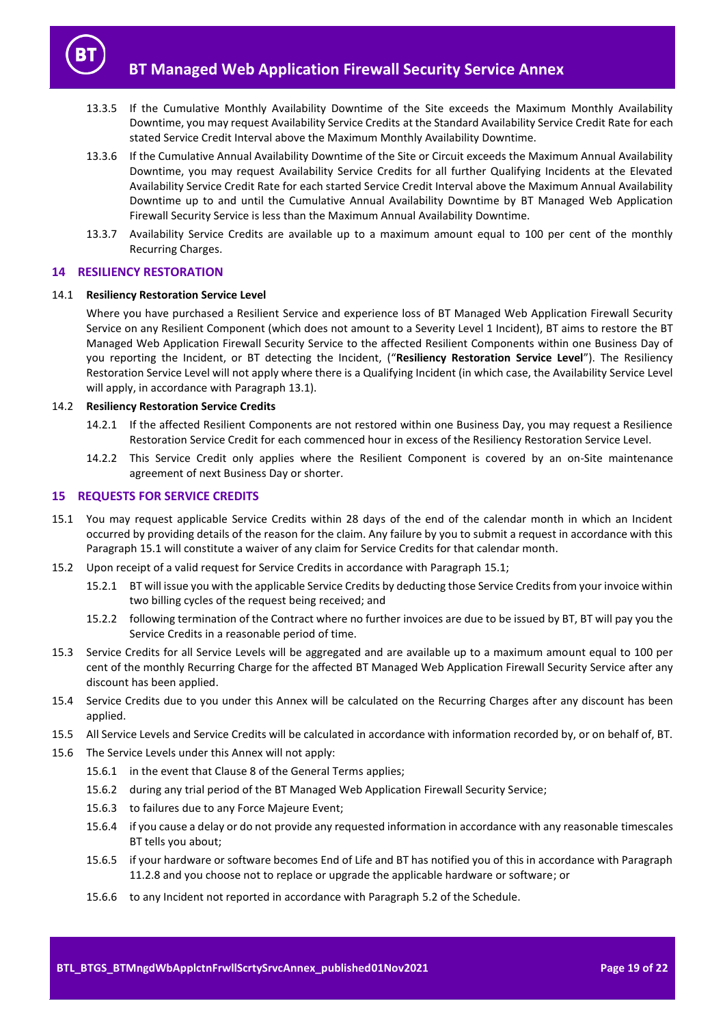

- <span id="page-18-2"></span>13.3.5 If the Cumulative Monthly Availability Downtime of the Site exceeds the Maximum Monthly Availability Downtime, you may request Availability Service Credits at the Standard Availability Service Credit Rate for each stated Service Credit Interval above the Maximum Monthly Availability Downtime.
- <span id="page-18-3"></span>13.3.6 If the Cumulative Annual Availability Downtime of the Site or Circuit exceeds the Maximum Annual Availability Downtime, you may request Availability Service Credits for all further Qualifying Incidents at the Elevated Availability Service Credit Rate for each started Service Credit Interval above the Maximum Annual Availability Downtime up to and until the Cumulative Annual Availability Downtime by BT Managed Web Application Firewall Security Service is less than the Maximum Annual Availability Downtime.
- 13.3.7 Availability Service Credits are available up to a maximum amount equal to 100 per cent of the monthly Recurring Charges.

# <span id="page-18-0"></span>**14 RESILIENCY RESTORATION**

## <span id="page-18-5"></span>14.1 **Resiliency Restoration Service Level**

Where you have purchased a Resilient Service and experience loss of BT Managed Web Application Firewall Security Service on any Resilient Component (which does not amount to a Severity Level 1 Incident), BT aims to restore the BT Managed Web Application Firewall Security Service to the affected Resilient Components within one Business Day of you reporting the Incident, or BT detecting the Incident, ("**Resiliency Restoration Service Level**"). The Resiliency Restoration Service Level will not apply where there is a Qualifying Incident (in which case, the Availability Service Level will apply, in accordance with Paragraph [13.1\)](#page-17-5).

## 14.2 **Resiliency Restoration Service Credits**

- 14.2.1 If the affected Resilient Components are not restored within one Business Day, you may request a Resilience Restoration Service Credit for each commenced hour in excess of the Resiliency Restoration Service Level.
- 14.2.2 This Service Credit only applies where the Resilient Component is covered by an on-Site maintenance agreement of next Business Day or shorter.

## <span id="page-18-1"></span>**15 REQUESTS FOR SERVICE CREDITS**

- <span id="page-18-4"></span>15.1 You may request applicable Service Credits within 28 days of the end of the calendar month in which an Incident occurred by providing details of the reason for the claim. Any failure by you to submit a request in accordance with this Paragraph [15.1](#page-18-4) will constitute a waiver of any claim for Service Credits for that calendar month.
- 15.2 Upon receipt of a valid request for Service Credits in accordance with Paragraph [15.1;](#page-18-4)
	- 15.2.1 BT will issue you with the applicable Service Credits by deducting those Service Credits from your invoice within two billing cycles of the request being received; and
	- 15.2.2 following termination of the Contract where no further invoices are due to be issued by BT, BT will pay you the Service Credits in a reasonable period of time.
- 15.3 Service Credits for all Service Levels will be aggregated and are available up to a maximum amount equal to 100 per cent of the monthly Recurring Charge for the affected BT Managed Web Application Firewall Security Service after any discount has been applied.
- 15.4 Service Credits due to you under this Annex will be calculated on the Recurring Charges after any discount has been applied.
- 15.5 All Service Levels and Service Credits will be calculated in accordance with information recorded by, or on behalf of, BT.
- 15.6 The Service Levels under this Annex will not apply:
	- 15.6.1 in the event that Clause 8 of the General Terms applies;
	- 15.6.2 during any trial period of the BT Managed Web Application Firewall Security Service;
	- 15.6.3 to failures due to any Force Majeure Event;
	- 15.6.4 if you cause a delay or do not provide any requested information in accordance with any reasonable timescales BT tells you about;
	- 15.6.5 if your hardware or software becomes End of Life and BT has notified you of this in accordance with Paragraph [11.2.8](#page-13-4) and you choose not to replace or upgrade the applicable hardware or software; or
	- 15.6.6 to any Incident not reported in accordance with Paragraph 5.2 of the Schedule.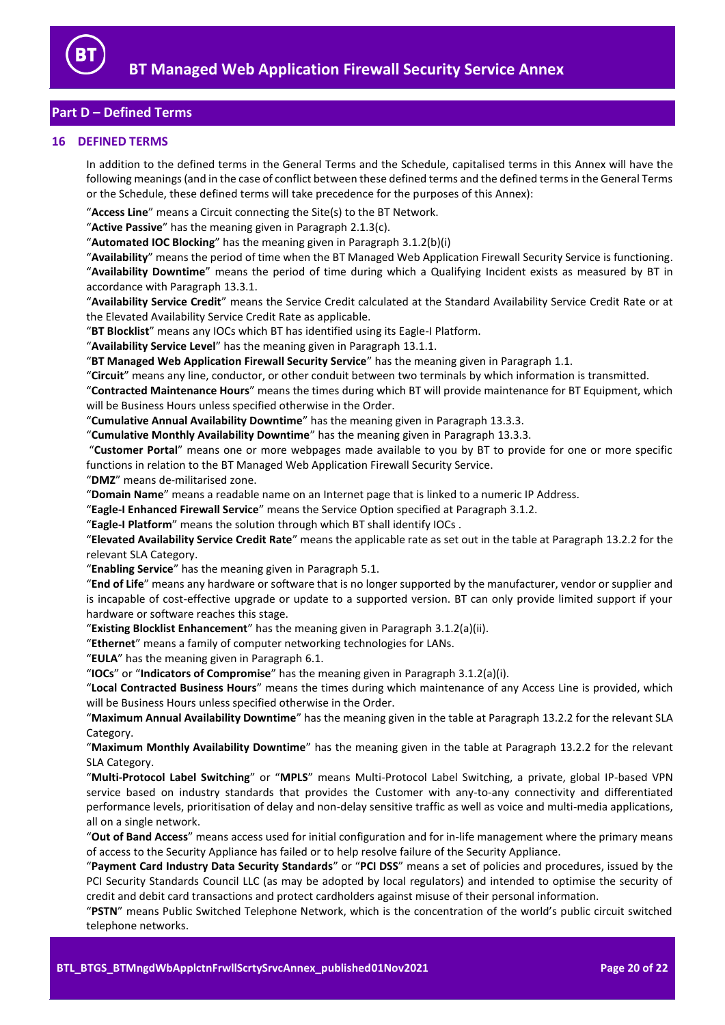

# <span id="page-19-0"></span>**Part D – Defined Terms**

# <span id="page-19-1"></span>**16 DEFINED TERMS**

In addition to the defined terms in the General Terms and the Schedule, capitalised terms in this Annex will have the following meanings (and in the case of conflict between these defined terms and the defined terms in the General Terms or the Schedule, these defined terms will take precedence for the purposes of this Annex):

"**Access Line**" means a Circuit connecting the Site(s) to the BT Network.

"**Active Passive**" has the meaning given in Paragraph [2.1.3\(c\).](#page-1-6)

"**Automated IOC Blocking**" has the meaning given in Paragraph [3.1.2\(b\)\(i\)](#page-2-2)

"**Availability**" means the period of time when the BT Managed Web Application Firewall Security Service is functioning. "**Availability Downtime**" means the period of time during which a Qualifying Incident exists as measured by BT in accordance with Paragraph [13.3.1.](#page-17-3)

"**Availability Service Credit**" means the Service Credit calculated at the Standard Availability Service Credit Rate or at the Elevated Availability Service Credit Rate as applicable.

"**BT Blocklist**" means any IOCs which BT has identified using its Eagle-I Platform.

"**Availability Service Level**" has the meaning given in Paragraph [13.1.1.](#page-17-6)

"**BT Managed Web Application Firewall Security Service**" has the meaning given in Paragrap[h 1.1.](#page-1-7)

"**Circuit**" means any line, conductor, or other conduit between two terminals by which information is transmitted.

"**Contracted Maintenance Hours**" means the times during which BT will provide maintenance for BT Equipment, which will be Business Hours unless specified otherwise in the Order.

"**Cumulative Annual Availability Downtime**" has the meaning given in Paragrap[h 13.3.3.](#page-17-7)

"**Cumulative Monthly Availability Downtime**" has the meaning given in Paragrap[h 13.3.3.](#page-17-7)

"**Customer Portal**" means one or more webpages made available to you by BT to provide for one or more specific functions in relation to the BT Managed Web Application Firewall Security Service.

"**DMZ**" means de-militarised zone.

"**Domain Name**" means a readable name on an Internet page that is linked to a numeric IP Address.

"**Eagle-I Enhanced Firewall Service**" means the Service Option specified at Paragraph [3.1.2.](#page-2-3)

"**Eagle-I Platform**" means the solution through which BT shall identify IOCs .

"**Elevated Availability Service Credit Rate**" means the applicable rate as set out in the table at Paragrap[h 13.2.2](#page-17-2) for the relevant SLA Category.

"**Enabling Service**" has the meaning given in Paragrap[h 5.1.](#page-3-2)

"**End of Life**" means any hardware or software that is no longer supported by the manufacturer, vendor or supplier and is incapable of cost-effective upgrade or update to a supported version. BT can only provide limited support if your hardware or software reaches this stage.

"**Existing Blocklist Enhancement**" has the meaning given in Paragraph [3.1.2\(a\)\(ii\).](#page-2-4)

"**Ethernet**" means a family of computer networking technologies for LANs.

"**EULA**" has the meaning given in Paragrap[h 6.1.](#page-3-3)

"**IOCs**" or "**Indicators of Compromise**" has the meaning given in Paragraph [3.1.2\(a\)\(i\).](#page-2-5)

"**Local Contracted Business Hours**" means the times during which maintenance of any Access Line is provided, which will be Business Hours unless specified otherwise in the Order.

"**Maximum Annual Availability Downtime**" has the meaning given in the table at Paragrap[h 13.2.2](#page-17-2) for the relevant SLA Category.

"**Maximum Monthly Availability Downtime**" has the meaning given in the table at Paragraph [13.2.2](#page-17-2) for the relevant SLA Category.

"**Multi-Protocol Label Switching**" or "**MPLS**" means Multi-Protocol Label Switching, a private, global IP-based VPN service based on industry standards that provides the Customer with any-to-any connectivity and differentiated performance levels, prioritisation of delay and non-delay sensitive traffic as well as voice and multi-media applications, all on a single network.

"**Out of Band Access**" means access used for initial configuration and for in-life management where the primary means of access to the Security Appliance has failed or to help resolve failure of the Security Appliance.

"**Payment Card Industry Data Security Standards**" or "**PCI DSS**" means a set of policies and procedures, issued by the PCI Security Standards Council LLC (as may be adopted by local regulators) and intended to optimise the security of credit and debit card transactions and protect cardholders against misuse of their personal information.

"**PSTN**" means Public Switched Telephone Network, which is the concentration of the world's public circuit switched telephone networks.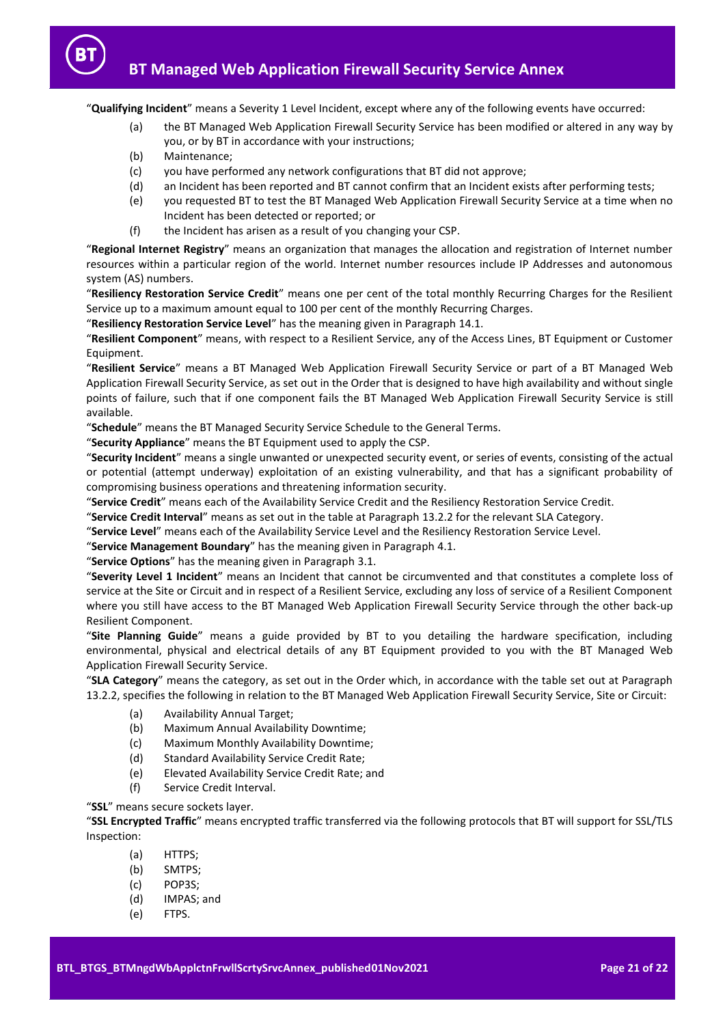

"**Qualifying Incident**" means a Severity 1 Level Incident, except where any of the following events have occurred:

- (a) the BT Managed Web Application Firewall Security Service has been modified or altered in any way by you, or by BT in accordance with your instructions;
- (b) Maintenance;
- (c) you have performed any network configurations that BT did not approve;
- (d) an Incident has been reported and BT cannot confirm that an Incident exists after performing tests;
- (e) you requested BT to test the BT Managed Web Application Firewall Security Service at a time when no Incident has been detected or reported; or
- (f) the Incident has arisen as a result of you changing your CSP.

"**Regional Internet Registry**" means an organization that manages the allocation and registration of Internet number resources within a particular region of the world. Internet number resources include IP Addresses and autonomous system (AS) numbers.

"**Resiliency Restoration Service Credit**" means one per cent of the total monthly Recurring Charges for the Resilient Service up to a maximum amount equal to 100 per cent of the monthly Recurring Charges.

"**Resiliency Restoration Service Level**" has the meaning given in Paragraph [14.1.](#page-18-5)

"**Resilient Component**" means, with respect to a Resilient Service, any of the Access Lines, BT Equipment or Customer Equipment.

"**Resilient Service**" means a BT Managed Web Application Firewall Security Service or part of a BT Managed Web Application Firewall Security Service, as set out in the Order that is designed to have high availability and without single points of failure, such that if one component fails the BT Managed Web Application Firewall Security Service is still available.

"**Schedule**" means the BT Managed Security Service Schedule to the General Terms.

"**Security Appliance**" means the BT Equipment used to apply the CSP.

"**Security Incident**" means a single unwanted or unexpected security event, or series of events, consisting of the actual or potential (attempt underway) exploitation of an existing vulnerability, and that has a significant probability of compromising business operations and threatening information security.

"**Service Credit**" means each of the Availability Service Credit and the Resiliency Restoration Service Credit.

"**Service Credit Interval**" means as set out in the table at Paragraph [13.2.2](#page-17-2) for the relevant SLA Category.

"**Service Level**" means each of the Availability Service Level and the Resiliency Restoration Service Level.

"**Service Management Boundary**" has the meaning given in Paragraph [4.1.](#page-2-6)

"**Service Options**" has the meaning given in Paragraph [3.1.](#page-2-7)

"**Severity Level 1 Incident**" means an Incident that cannot be circumvented and that constitutes a complete loss of service at the Site or Circuit and in respect of a Resilient Service, excluding any loss of service of a Resilient Component where you still have access to the BT Managed Web Application Firewall Security Service through the other back-up Resilient Component.

"**Site Planning Guide**" means a guide provided by BT to you detailing the hardware specification, including environmental, physical and electrical details of any BT Equipment provided to you with the BT Managed Web Application Firewall Security Service.

"**SLA Category**" means the category, as set out in the Order which, in accordance with the table set out at Paragraph [13.2.2,](#page-17-2) specifies the following in relation to the BT Managed Web Application Firewall Security Service, Site or Circuit:

- (a) Availability Annual Target;
- (b) Maximum Annual Availability Downtime;
- (c) Maximum Monthly Availability Downtime;
- (d) Standard Availability Service Credit Rate;
- (e) Elevated Availability Service Credit Rate; and
- (f) Service Credit Interval.

"**SSL**" means secure sockets layer.

"**SSL Encrypted Traffic**" means encrypted traffic transferred via the following protocols that BT will support for SSL/TLS Inspection:

- (a) HTTPS;
- (b) SMTPS;
- (c) POP3S;
- (d) IMPAS; and
- (e) FTPS.